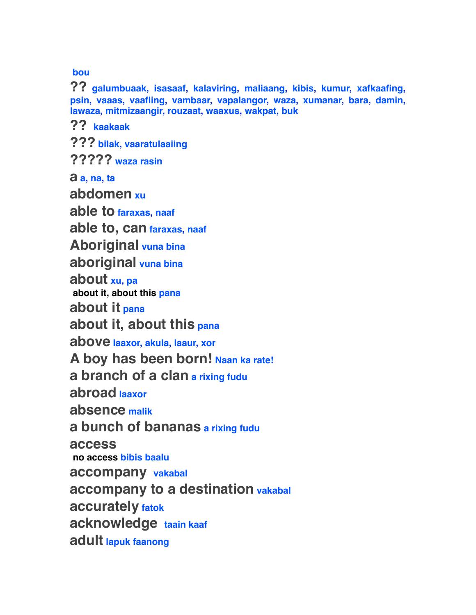**bou**

**?? galumbuaak, isasaaf, kalaviring, maliaang, kibis, kumur, xafkaafing, psin, vaaas, vaafling, vambaar, vapalangor, waza, xumanar, bara, damin, lawaza, mitmizaangir, rouzaat, waaxus, wakpat, buk**

**?? kaakaak**

**??? bilak, vaaratulaaiing**

**????? waza rasin**

**a a, na, ta**

**abdomen xu**

**able to faraxas, naaf**

**able to, can faraxas, naaf**

**Aboriginal vuna bina**

**aboriginal vuna bina**

**about xu, pa**

 **about it, about this pana**

**about it pana**

**about it, about this pana**

**above laaxor, akula, laaur, xor**

**A boy has been born! Naan ka rate!**

**a branch of a clan a rixing fudu**

**abroad laaxor**

**absence malik**

**a bunch of bananas a rixing fudu**

**access**

 **no access bibis baalu**

**accompany vakabal**

**accompany to a destination vakabal**

**accurately fatok**

**acknowledge taain kaaf**

**adult lapuk faanong**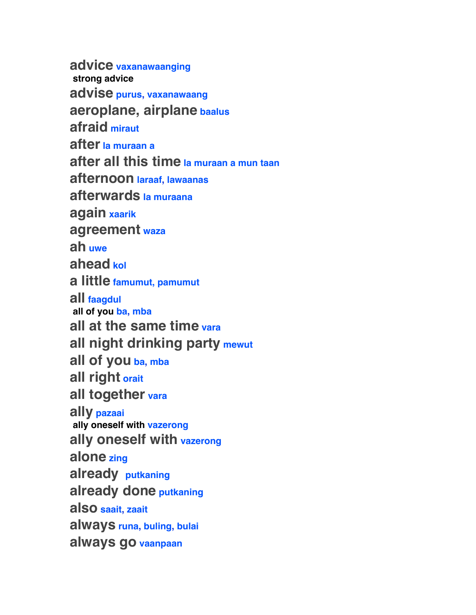**advice vaxanawaanging strong advice advise purus, vaxanawaang aeroplane, airplane baalus afraid miraut after la muraan a after all this time la muraan a mun taan afternoon laraaf, lawaanas afterwards la muraana again xaarik agreement waza ah uwe ahead kol a little famumut, pamumut all faagdul all of you ba, mba all at the same time vara all night drinking party mewut all of you ba, mba all right orait all together vara ally pazaai ally oneself with vazerong ally oneself with vazerong alone zing already putkaning already done putkaning also saait, zaait always runa, buling, bulai always go vaanpaan**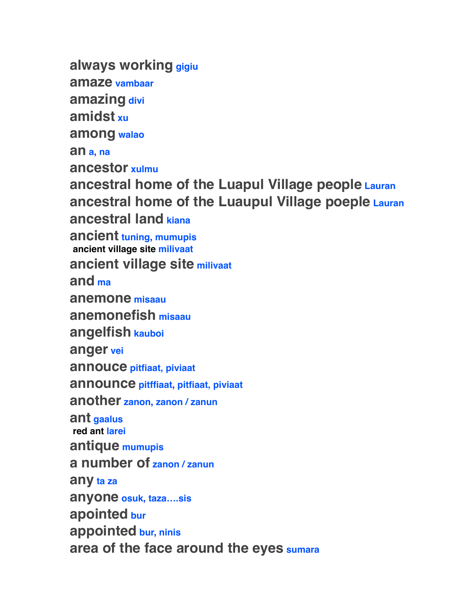**always working gigiu amaze vambaar amazing divi amidst xu among walao an a, na ancestor xulmu ancestral home of the Luapul Village people Lauran ancestral home of the Luaupul Village poeple Lauran ancestral land kiana ancient tuning, mumupis ancient village site milivaat ancient village site milivaat and ma anemone misaau anemonefish misaau angelfish kauboi anger vei annouce pitfiaat, piviaat announce pitffiaat, pitfiaat, piviaat another zanon, zanon / zanun ant gaalus red ant larei antique mumupis a number of zanon / zanun any ta za anyone osuk, taza….sis apointed bur appointed bur, ninis area of the face around the eyes sumara**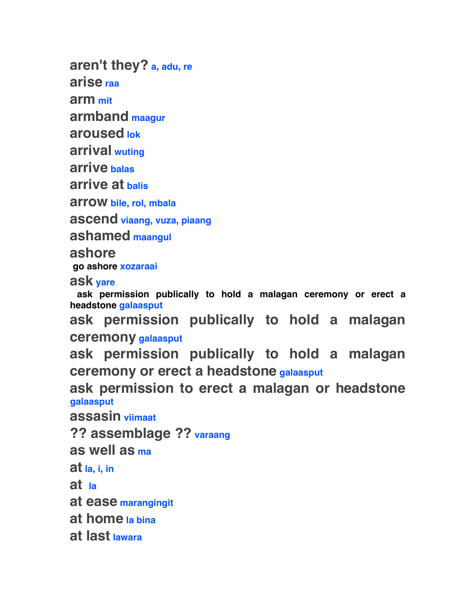**aren't they? a, adu, re**

**arise raa**

**arm mit**

**armband maagur**

**aroused lok**

**arrival wuting**

**arrive balas**

**arrive at balis**

**arrow bile, rol, mbala**

**ascend viaang, vuza, piaang**

**ashamed maangul**

**ashore**

 **go ashore xozaraai**

**ask yare**

 **ask permission publically to hold a malagan ceremony or erect a headstone galaasput**

**ask permission publically to hold a malagan ceremony galaasput**

**ask permission publically to hold a malagan ceremony or erect a headstone galaasput**

**ask permission to erect a malagan or headstone galaasput**

**assasin viimaat**

**?? assemblage ?? varaang**

**as well as ma**

**at la, i, in**

**at la**

**at ease marangingit**

**at home la bina**

**at last lawara**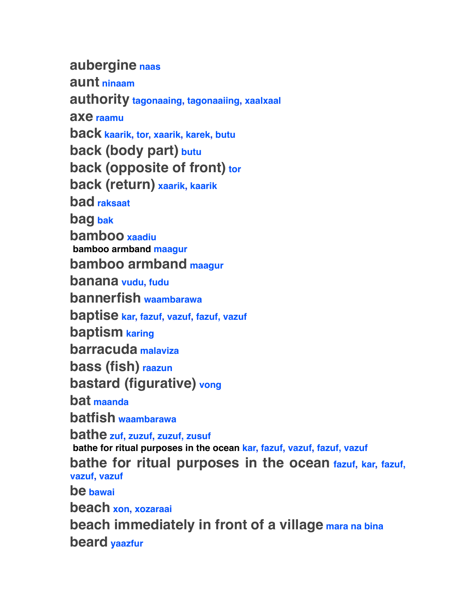**aubergine naas aunt ninaam authority tagonaaing, tagonaaiing, xaalxaal axe raamu back kaarik, tor, xaarik, karek, butu back (body part) butu back (opposite of front) tor back (return) xaarik, kaarik bad raksaat bag bak bamboo xaadiu bamboo armband maagur bamboo armband maagur banana vudu, fudu bannerfish waambarawa baptise kar, fazuf, vazuf, fazuf, vazuf baptism karing barracuda malaviza bass (fish) raazun bastard (figurative) vong bat maanda batfish waambarawa bathe zuf, zuzuf, zuzuf, zusuf bathe for ritual purposes in the ocean kar, fazuf, vazuf, fazuf, vazuf bathe for ritual purposes in the ocean fazuf, kar, fazuf, vazuf, vazuf be bawai beach xon, xozaraai beach immediately in front of a village mara na bina**

**beard yaazfur**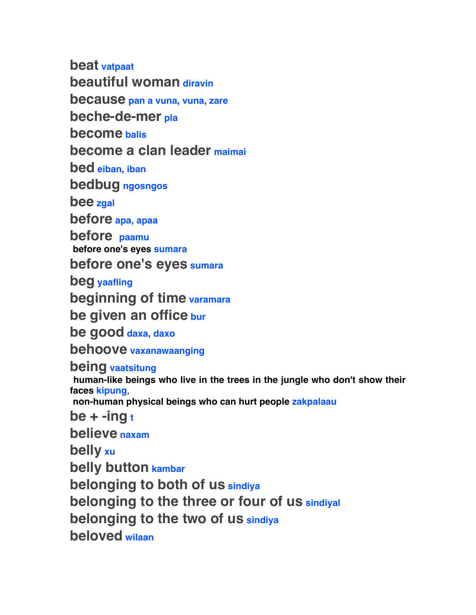**beat vatpaat beautiful woman diravin because pan a vuna, vuna, zare beche-de-mer pla become balis become a clan leader maimai bed eiban, iban bedbug ngosngos bee zgal before apa, apaa before paamu before one's eyes sumara before one's eyes sumara beg yaafling beginning of time varamara be given an office bur be good daxa, daxo behoove vaxanawaanging being vaatsitung human-like beings who live in the trees in the jungle who don't show their faces kipung**,  **non-human physical beings who can hurt people zakpalaau be + -ing t**

**believe naxam**

**belly xu**

**belly button kambar**

**belonging to both of us sindiya**

**belonging to the three or four of us sindiyal**

**belonging to the two of us sindiya**

**beloved wilaan**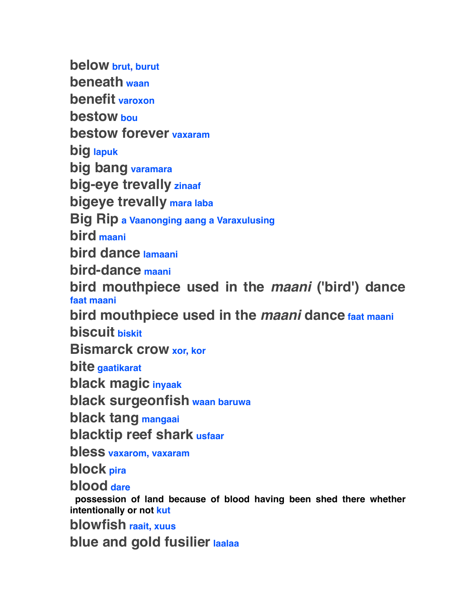**below brut, burut beneath waan benefit varoxon bestow bou bestow forever vaxaram big lapuk big bang varamara big-eye trevally zinaaf bigeye trevally mara laba Big Rip a Vaanonging aang a Varaxulusing bird maani bird dance lamaani bird-dance maani bird mouthpiece used in the** *maani* **('bird') dance faat maani bird mouthpiece used in the** *maani* **dance faat maani biscuit biskit Bismarck crow xor, kor bite gaatikarat black magic inyaak black surgeonfish waan baruwa black tang mangaai blacktip reef shark usfaar bless vaxarom, vaxaram block pira blood dare possession of land because of blood having been shed there whether intentionally or not kut blowfish raait, xuus blue and gold fusilier laalaa**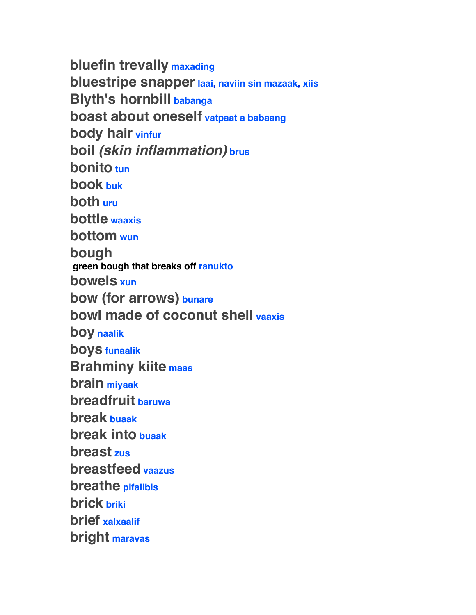**bluefin trevally maxading bluestripe snapper laai, naviin sin mazaak, xiis Blyth's hornbill babanga boast about oneself vatpaat a babaang body hair vinfur boil** *(skin inflammation)* **brus bonito tun book buk both uru bottle waaxis bottom wun bough green bough that breaks off ranukto bowels xun bow (for arrows) bunare bowl made of coconut shell vaaxis boy naalik boys funaalik Brahminy kiite maas brain miyaak breadfruit baruwa break buaak break into buaak breast zus breastfeed vaazus breathe pifalibis brick briki brief xalxaalif bright maravas**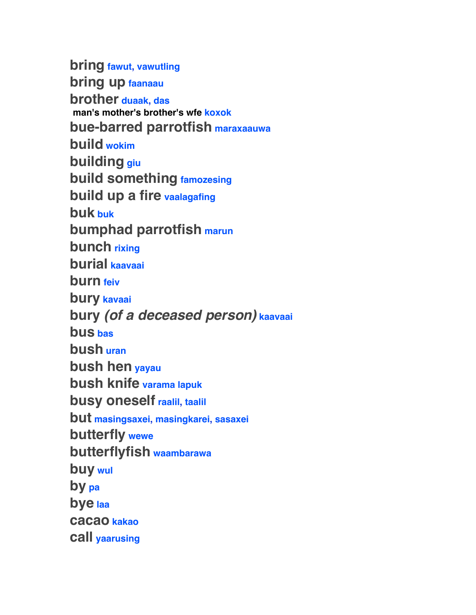**bring fawut, vawutling bring up faanaau brother duaak, das man's mother's brother's wfe koxok bue-barred parrotfish maraxaauwa build wokim building giu build something famozesing build up a fire vaalagafing buk buk bumphad parrotfish marun bunch rixing burial kaavaai burn feiv bury kavaai bury** *(of a deceased person)* **kaavaai bus bas bush uran bush hen yayau bush knife varama lapuk busy oneself raalil, taalil but masingsaxei, masingkarei, sasaxei butterfly wewe butterflyfish waambarawa buy wul by pa bye laa cacao kakao call yaarusing**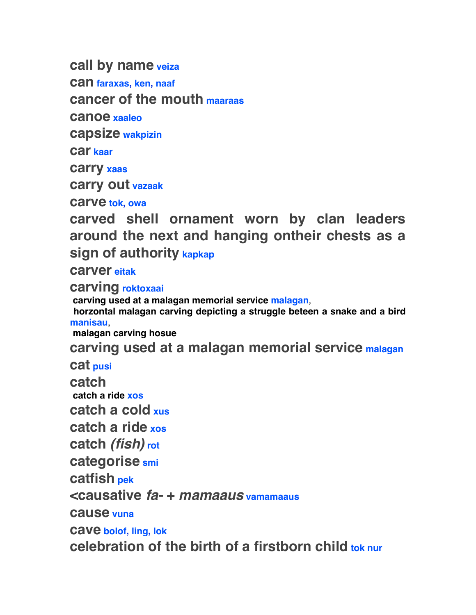**call by name veiza**

**can faraxas, ken, naaf**

**cancer of the mouth maaraas**

**canoe xaaleo**

**capsize wakpizin**

**car kaar**

**carry xaas**

**carry out vazaak**

**carve tok, owa**

**carved shell ornament worn by clan leaders around the next and hanging ontheir chests as a sign of authority kapkap**

**carver eitak**

**carving roktoxaai**

 **carving used at a malagan memorial service malagan**,

 **horzontal malagan carving depicting a struggle beteen a snake and a bird manisau**,

 **malagan carving hosue**

**carving used at a malagan memorial service malagan**

**cat pusi**

**catch** 

 **catch a ride xos**

**catch a cold xus**

**catch a ride xos**

**catch** *(fish)* **rot**

**categorise smi**

**catfish pek**

**<causative** *fa-* **+** *mamaaus* **vamamaaus**

**cause vuna**

**cave bolof, ling, lok**

**celebration of the birth of a firstborn child tok nur**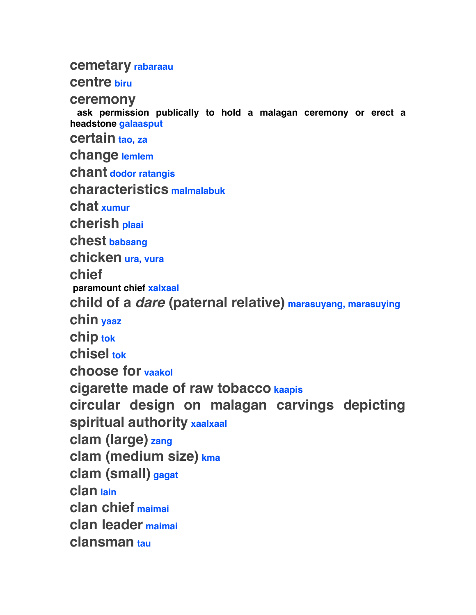#### **cemetary rabaraau**

**centre biru**

**ceremony**

 **ask permission publically to hold a malagan ceremony or erect a headstone galaasput certain tao, za change lemlem chant dodor ratangis characteristics malmalabuk chat xumur cherish plaai chest babaang chicken ura, vura chief paramount chief xalxaal child of a** *dare* **(paternal relative) marasuyang, marasuying chin yaaz chip tok chisel tok choose for vaakol cigarette made of raw tobacco kaapis circular design on malagan carvings depicting spiritual authority xaalxaal clam (large) zang clam (medium size) kma clam (small) gagat clan lain clan chief maimai clan leader maimai clansman tau**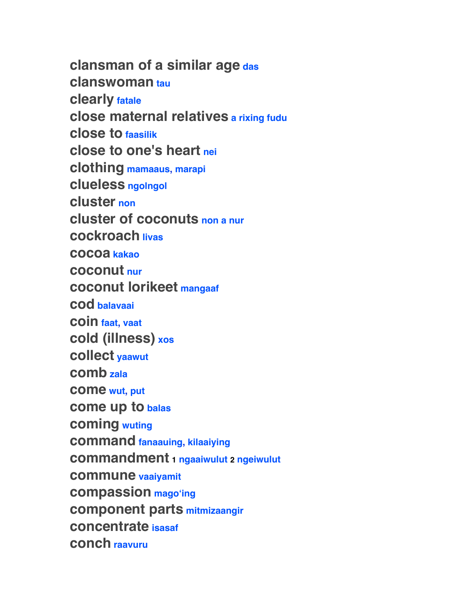**clansman of a similar age das clanswoman tau clearly fatale close maternal relatives a rixing fudu close to faasilik close to one's heart nei clothing mamaaus, marapi clueless ngolngol cluster non cluster of coconuts non a nur cockroach livas cocoa kakao coconut nur coconut lorikeet mangaaf cod balavaai coin faat, vaat cold (illness) xos collect yaawut comb zala come wut, put come up to balas coming wuting command fanaauing, kilaaiying commandment 1 ngaaiwulut 2 ngeiwulut commune vaaiyamit compassion magoʻing component parts mitmizaangir concentrate isasaf conch raavuru**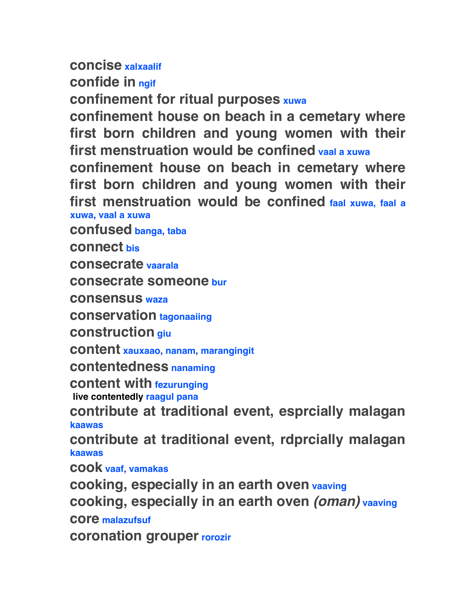## **concise xalxaalif**

**confide in ngif**

**confinement for ritual purposes xuwa**

**confinement house on beach in a cemetary where first born children and young women with their first menstruation would be confined vaal a xuwa**

**confinement house on beach in cemetary where first born children and young women with their first menstruation would be confined faal xuwa, faal a xuwa, vaal a xuwa**

**confused banga, taba**

**connect bis**

**consecrate vaarala**

**consecrate someone bur**

**consensus waza**

**conservation tagonaaiing**

**construction giu**

**content xauxaao, nanam, marangingit**

**contentedness nanaming**

**content with fezurunging**

 **live contentedly raagul pana**

**contribute at traditional event, esprcially malagan kaawas**

**contribute at traditional event, rdprcially malagan kaawas**

**cook vaaf, vamakas**

**cooking, especially in an earth oven vaaving cooking, especially in an earth oven** *(oman)* **vaaving core malazufsuf**

**coronation grouper rorozir**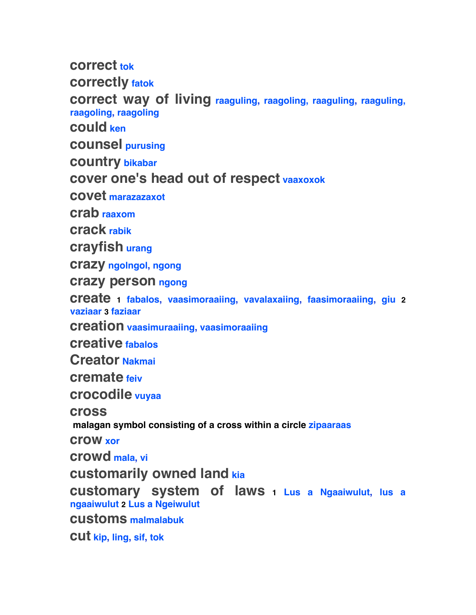**correct tok**

**correctly fatok**

**correct way of living raaguling, raagoling, raaguling, raaguling, raagoling, raagoling**

**could ken**

**counsel purusing**

**country bikabar**

## **cover one's head out of respect vaaxoxok**

**covet marazazaxot**

**crab raaxom**

**crack rabik**

**crayfish urang**

**crazy ngolngol, ngong**

**crazy person ngong**

**create 1 fabalos, vaasimoraaiing, vavalaxaiing, faasimoraaiing, giu <sup>2</sup> vaziaar 3 faziaar**

**creation vaasimuraaiing, vaasimoraaiing**

**creative fabalos**

**Creator Nakmai**

**cremate feiv**

**crocodile vuyaa**

**cross**

 **malagan symbol consisting of a cross within a circle zipaaraas**

**crow xor**

**crowd mala, vi**

**customarily owned land kia**

**customary system of laws 1 Lus a Ngaaiwulut, lus a ngaaiwulut 2 Lus a Ngeiwulut**

**customs malmalabuk**

**cut kip, ling, sif, tok**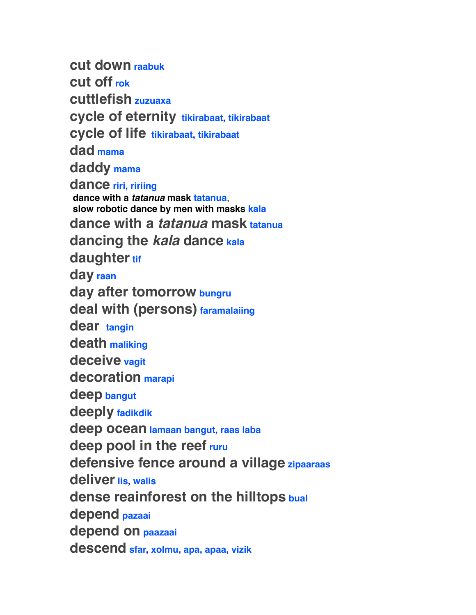**cut down raabuk cut off rok cuttlefish zuzuaxa cycle of eternity tikirabaat, tikirabaat cycle of life tikirabaat, tikirabaat dad mama daddy mama dance riri, ririing dance with a** *tatanua* **mask tatanua**,  **slow robotic dance by men with masks kala dance with a** *tatanua* **mask tatanua dancing the** *kala* **dance kala** daughter tif **day raan day after tomorrow bungru deal with (persons) faramalaiing dear tangin death maliking deceive vagit decoration marapi deep bangut deeply fadikdik deep ocean lamaan bangut, raas laba deep pool in the reef ruru defensive fence around a village zipaaraas deliver lis, walis dense reainforest on the hilltops bual depend pazaai depend on paazaai descend sfar, xolmu, apa, apaa, vizik**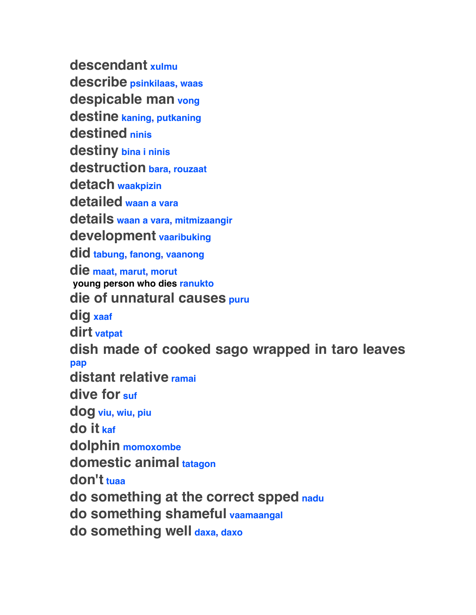**descendant xulmu describe psinkilaas, waas despicable man vong destine kaning, putkaning destined ninis destiny bina i ninis destruction bara, rouzaat detach waakpizin detailed waan a vara details waan a vara, mitmizaangir development vaaribuking did tabung, fanong, vaanong die maat, marut, morut young person who dies ranukto die of unnatural causes puru dig xaaf dirt vatpat dish made of cooked sago wrapped in taro leaves pap distant relative ramai dive for suf dog viu, wiu, piu do it kaf dolphin momoxombe domestic animal tatagon don't tuaa do something at the correct spped nadu do something shameful vaamaangal do something well daxa, daxo**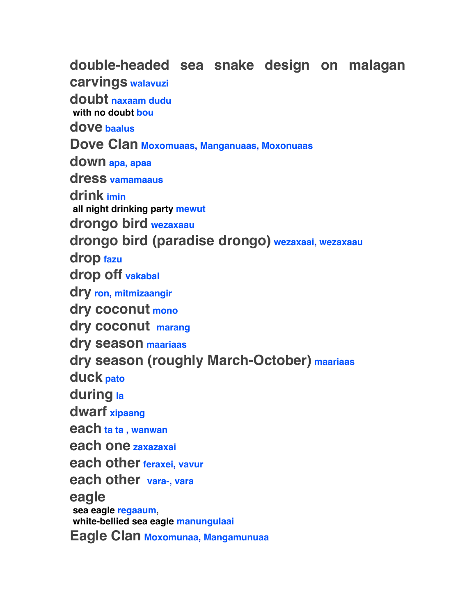**double-headed sea snake design on malagan carvings walavuzi doubt naxaam dudu with no doubt bou dove baalus Dove Clan Moxomuaas, Manganuaas, Moxonuaas down apa, apaa dress vamamaaus drink imin all night drinking party mewut drongo bird wezaxaau drongo bird (paradise drongo) wezaxaai, wezaxaau drop fazu drop off vakabal dry ron, mitmizaangir dry coconut mono dry coconut marang dry season maariaas dry season (roughly March-October) maariaas duck pato during la dwarf xipaang each ta ta , wanwan each one zaxazaxai each other feraxei, vavur each other vara-, vara eagle sea eagle regaaum**,  **white-bellied sea eagle manungulaai Eagle Clan Moxomunaa, Mangamunuaa**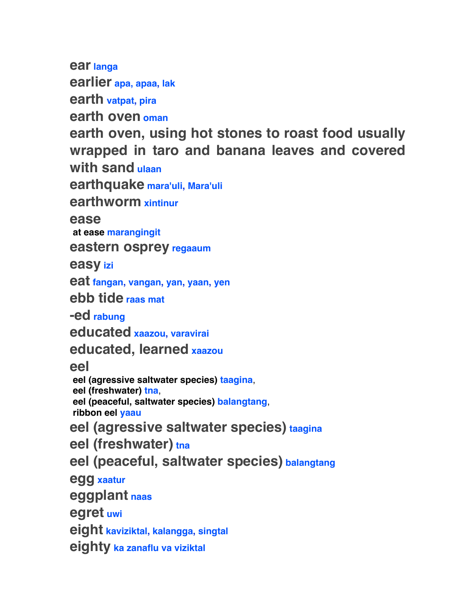**ear langa**

**earlier apa, apaa, lak**

**earth vatpat, pira**

**earth oven oman**

**earth oven, using hot stones to roast food usually wrapped in taro and banana leaves and covered with sand ulaan**

**earthquake mara'uli, Mara'uli**

**earthworm xintinur**

**ease**

 **at ease marangingit**

**eastern osprey regaaum**

**easy izi**

**eat fangan, vangan, yan, yaan, yen**

**ebb tide raas mat**

**-ed rabung**

**educated xaazou, varavirai**

**educated, learned xaazou**

**eel**

 **eel (agressive saltwater species) taagina**,

 **eel (freshwater) tna**,

 **eel (peaceful, saltwater species) balangtang**,

 **ribbon eel yaau**

**eel (agressive saltwater species) taagina**

**eel (freshwater) tna**

**eel (peaceful, saltwater species) balangtang**

**egg xaatur**

**eggplant naas**

**egret uwi**

**eight kaviziktal, kalangga, singtal**

**eighty ka zanaflu va viziktal**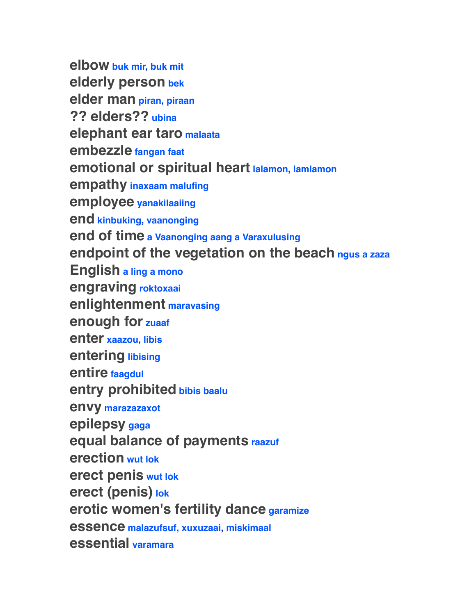**elbow buk mir, buk mit elderly person bek elder man piran, piraan ?? elders?? ubina elephant ear taro malaata embezzle fangan faat emotional or spiritual heart lalamon, lamlamon empathy inaxaam malufing employee yanakilaaiing end kinbuking, vaanonging end of time a Vaanonging aang a Varaxulusing endpoint of the vegetation on the beach ngus a zaza English a ling a mono engraving roktoxaai enlightenment maravasing enough for zuaaf enter xaazou, libis entering libising entire faagdul entry prohibited bibis baalu envy marazazaxot epilepsy gaga equal balance of payments raazuf erection wut lok erect penis wut lok erect (penis) lok erotic women's fertility dance garamize essence malazufsuf, xuxuzaai, miskimaal essential varamara**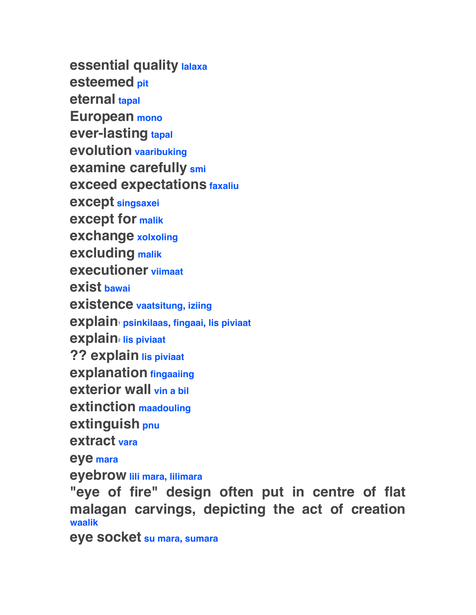**essential quality lalaxa esteemed pit eternal tapal European mono ever-lasting tapal evolution vaaribuking examine carefully smi exceed expectations faxaliu except singsaxei except for malik exchange xolxoling excluding malik executioner viimaat exist bawai existence vaatsitung, iziing explain1 psinkilaas, fingaai, lis piviaat explain2 lis piviaat ?? explain lis piviaat explanation fingaaiing exterior wall vin a bil extinction maadouling extinguish pnu extract vara eye mara eyebrow lili mara, lilimara**

**"eye of fire" design often put in centre of flat malagan carvings, depicting the act of creation waalik**

**eye socket su mara, sumara**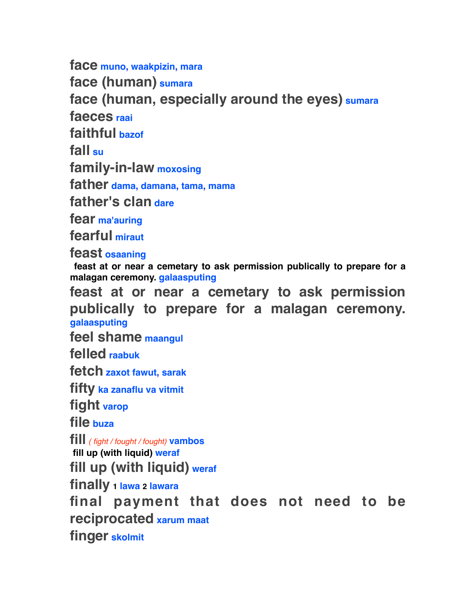**face muno, waakpizin, mara face (human) sumara face (human, especially around the eyes) sumara faeces raai faithful bazof fall su family-in-law moxosing father dama, damana, tama, mama father's clan dare fear ma'auring fearful miraut feast osaaning feast at or near a cemetary to ask permission publically to prepare for a** 

**malagan ceremony. galaasputing feast at or near a cemetary to ask permission publically to prepare for a malagan ceremony. galaasputing**

**feel shame maangul**

**felled raabuk**

**fetch zaxot fawut, sarak**

**fifty ka zanaflu va vitmit**

**fight varop**

**file buza**

**fill** *( fight / fought / fought)* **vambos fill up (with liquid) weraf**

**fill up (with liquid) weraf**

**finally 1 lawa 2 lawara**

**final payment that does not need to be reciprocated xarum maat finger skolmit**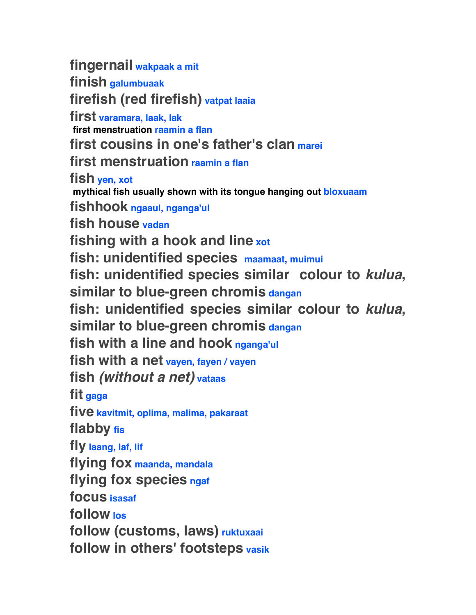**fingernail wakpaak a mit finish galumbuaak firefish (red firefish) vatpat laaia first varamara, laak, lak first menstruation raamin a flan first cousins in one's father's clan marei first menstruation raamin a flan fish yen, xot mythical fish usually shown with its tongue hanging out bloxuaam fishhook ngaaul, nganga'ul fish house vadan fishing with a hook and line xot fish: unidentified species maamaat, muimui fish: unidentified species similar colour to** *kulua***, similar to blue-green chromis dangan fish: unidentified species similar colour to** *kulua***, similar to blue-green chromis dangan fish with a line and hook nganga'ul fish with a net vayen, fayen / vayen fish** *(without a net)* **vataas fit gaga five kavitmit, oplima, malima, pakaraat flabby fis fly laang, laf, lif flying fox maanda, mandala flying fox species ngaf focus isasaf follow los follow (customs, laws) ruktuxaai follow in others' footsteps vasik**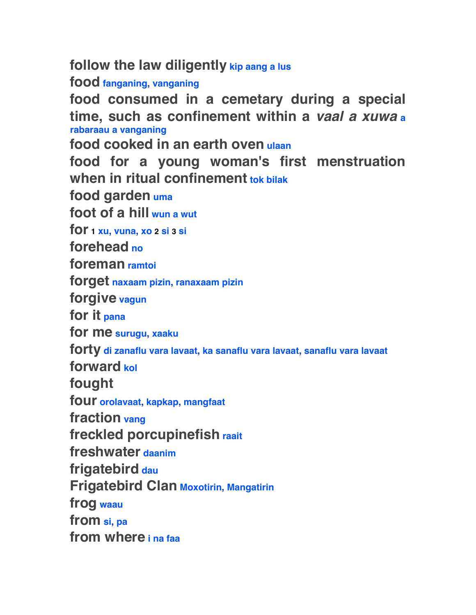**follow the law diligently kip aang a lus**

**food fanganing, vanganing**

**food consumed in a cemetary during a special time, such as confinement within a** *vaal a xuwa***<sup>a</sup> rabaraau a vanganing**

**food cooked in an earth oven ulaan**

**food for a young woman's first menstruation when in ritual confinement tok bilak**

**food garden uma**

**foot of a hill wun a wut**

**for 1 xu, vuna, xo 2 si 3 si**

**forehead no**

**foreman ramtoi**

**forget naxaam pizin, ranaxaam pizin**

**forgive vagun**

**for it pana**

**for me surugu, xaaku**

**forty di zanaflu vara lavaat, ka sanaflu vara lavaat, sanaflu vara lavaat**

**forward kol**

**fought**

**four orolavaat, kapkap, mangfaat**

**fraction vang**

**freckled porcupinefish raait**

**freshwater daanim**

**frigatebird dau**

**Frigatebird Clan Moxotirin, Mangatirin**

**frog waau**

**from si, pa**

**from where i na faa**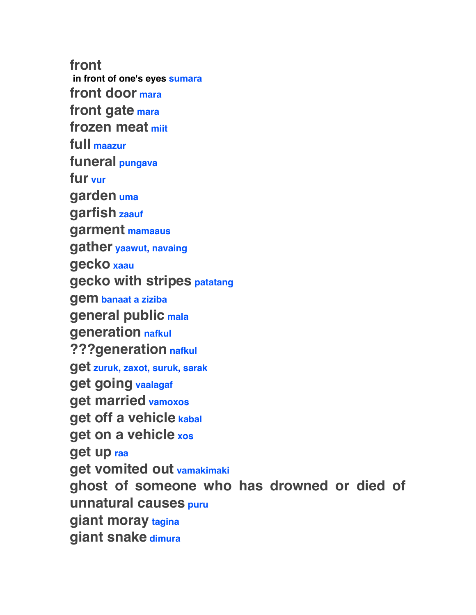**front in front of one's eyes sumara front door mara front gate mara frozen meat miit full maazur funeral pungava fur vur garden uma garfish zaauf garment mamaaus gather yaawut, navaing gecko xaau gecko with stripes patatang gem banaat a ziziba general public mala generation nafkul ???generation nafkul get zuruk, zaxot, suruk, sarak get going vaalagaf get married vamoxos get off a vehicle kabal get on a vehicle xos get up raa get vomited out vamakimaki ghost of someone who has drowned or died of unnatural causes puru giant moray tagina giant snake dimura**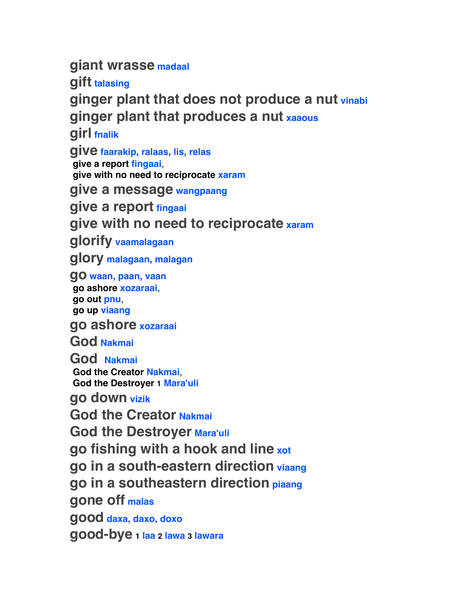**giant wrasse madaal**

**gift talasing**

**ginger plant that does not produce a nut vinabi ginger plant that produces a nut xaaous**

**girl fnalik**

**give faarakip, ralaas, lis, relas give a report fingaai**,

 **give with no need to reciprocate xaram**

**give a message wangpaang**

**give a report fingaai**

**give with no need to reciprocate xaram**

**glorify vaamalagaan**

**glory malagaan, malagan**

**go waan, paan, vaan go ashore xozaraai**,  **go out pnu**,  **go up viaang**

**go ashore xozaraai**

**God Nakmai**

**God Nakmai God the Creator Nakmai**,  **God the Destroyer 1 Mara'uli**

**go down vizik**

**God the Creator Nakmai**

**God the Destroyer Mara'uli**

**go fishing with a hook and line xot**

**go in a south-eastern direction viaang**

**go in a southeastern direction piaang**

**gone off malas**

**good daxa, daxo, doxo**

**good-bye 1 laa 2 lawa 3 lawara**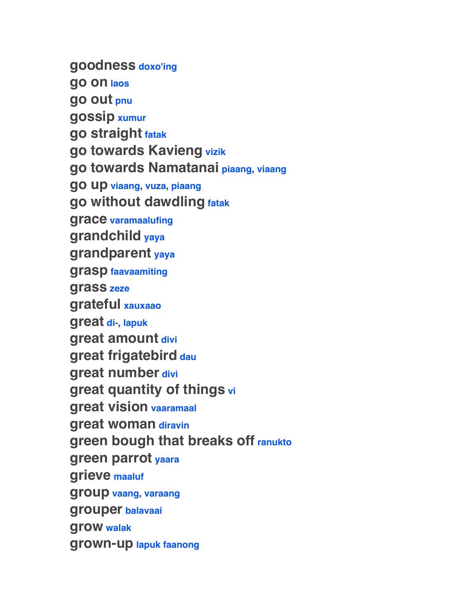**goodness doxo'ing go on laos go out pnu gossip xumur go straight fatak go towards Kavieng vizik go towards Namatanai piaang, viaang go up viaang, vuza, piaang go without dawdling fatak grace varamaalufing grandchild yaya grandparent yaya grasp faavaamiting grass zeze grateful xauxaao great di-, lapuk great amount divi great frigatebird dau great number divi great quantity of things vi great vision vaaramaal great woman diravin green bough that breaks off ranukto green parrot yaara grieve maaluf group vaang, varaang grouper balavaai grow walak grown-up lapuk faanong**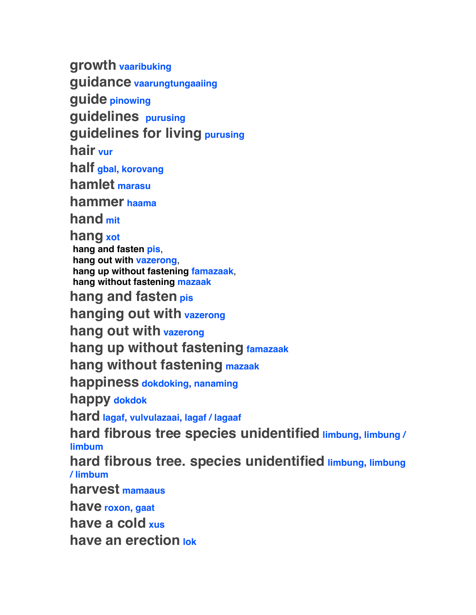**growth vaaribuking guidance vaarungtungaaiing guide pinowing guidelines purusing guidelines for living purusing hair vur half gbal, korovang hamlet marasu hammer haama**

**hand mit**

**hang xot hang and fasten pis**,  **hang out with vazerong**,  **hang up without fastening famazaak**,  **hang without fastening mazaak**

**hang and fasten pis**

**hanging out with vazerong**

**hang out with vazerong**

**hang up without fastening famazaak**

**hang without fastening mazaak**

**happiness dokdoking, nanaming**

**happy dokdok**

**hard lagaf, vulvulazaai, lagaf / lagaaf**

**hard fibrous tree species unidentified limbung, limbung / limbum**

**hard fibrous tree. species unidentified limbung, limbung / limbum**

**harvest mamaaus**

**have roxon, gaat**

**have a cold xus**

**have an erection lok**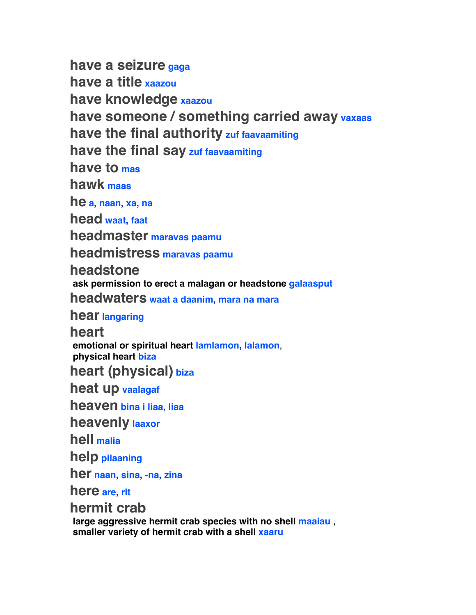**have a seizure gaga have a title xaazou have knowledge xaazou have someone / something carried away vaxaas have the final authority zuf faavaamiting have the final say zuf faavaamiting have to mas hawk maas he a, naan, xa, na head waat, faat headmaster maravas paamu headmistress maravas paamu headstone ask permission to erect a malagan or headstone galaasput headwaters waat a daanim, mara na mara hear langaring heart emotional or spiritual heart lamlamon, lalamon**,  **physical heart biza heart (physical) biza heat up vaalagaf heaven bina i liaa, liaa heavenly laaxor hell malia help pilaaning her naan, sina, -na, zina here are, rit hermit crab** 

 **large aggressive hermit crab species with no shell maaiau** ,  **smaller variety of hermit crab with a shell xaaru**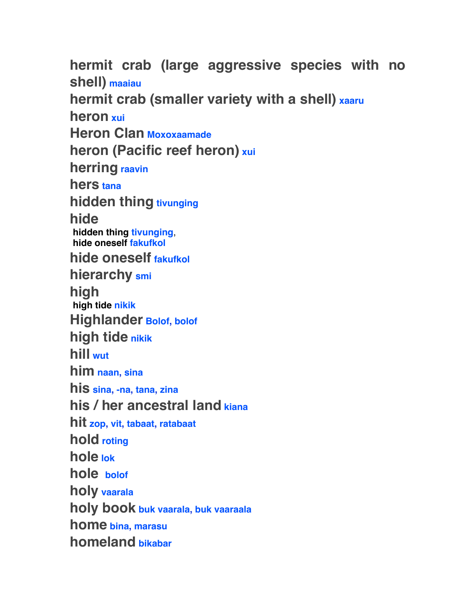**hermit crab (large aggressive species with no shell) maaiau hermit crab (smaller variety with a shell) xaaru heron xui Heron Clan Moxoxaamade heron (Pacific reef heron) xui herring raavin hers tana hidden thing tivunging hide hidden thing tivunging**,  **hide oneself fakufkol hide oneself fakufkol hierarchy smi high high tide nikik Highlander Bolof, bolof high tide nikik hill wut him naan, sina his sina, -na, tana, zina his / her ancestral land kiana hit zop, vit, tabaat, ratabaat hold roting hole lok hole bolof holy vaarala holy book buk vaarala, buk vaaraala home bina, marasu homeland bikabar**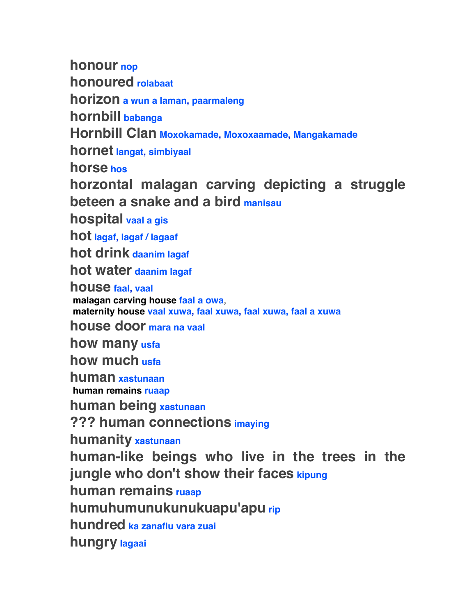**honour nop**

**honoured rolabaat**

**horizon a wun a laman, paarmaleng**

**hornbill babanga**

**Hornbill Clan Moxokamade, Moxoxaamade, Mangakamade**

**hornet langat, simbiyaal**

**horse hos**

**horzontal malagan carving depicting a struggle beteen a snake and a bird manisau**

**hospital vaal a gis**

**hot lagaf, lagaf / lagaaf**

**hot drink daanim lagaf**

**hot water daanim lagaf**

**house faal, vaal**

 **malagan carving house faal a owa**,  **maternity house vaal xuwa, faal xuwa, faal xuwa, faal a xuwa**

**house door mara na vaal**

**how many usfa**

**how much usfa**

**human xastunaan human remains ruaap**

**human being xastunaan**

**??? human connections imaying**

**humanity xastunaan**

**human-like beings who live in the trees in the jungle who don't show their faces kipung**

**human remains ruaap**

**humuhumunukunukuapu'apu rip**

**hundred ka zanaflu vara zuai**

**hungry lagaai**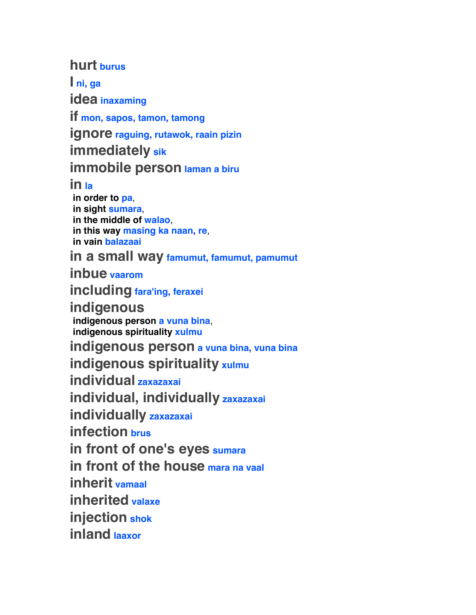### **hurt burus**

**I ni, ga idea inaxaming**

**if mon, sapos, tamon, tamong**

**ignore raguing, rutawok, raain pizin**

**immediately sik**

**immobile person laman a biru**

### **in la**

 **in order to pa**,  **in sight sumara**,  **in the middle of walao**,  **in this way masing ka naan, re**,  **in vain balazaai**

**in a small way famumut, famumut, pamumut**

**inbue vaarom**

**including fara'ing, feraxei**

**indigenous** 

 **indigenous person a vuna bina**,  **indigenous spirituality xulmu**

**indigenous person a vuna bina, vuna bina**

**indigenous spirituality xulmu** 

**individual zaxazaxai**

**individual, individually zaxazaxai**

**individually zaxazaxai**

**infection brus**

**in front of one's eyes sumara**

**in front of the house mara na vaal**

**inherit vamaal**

**inherited valaxe**

**injection shok**

**inland laaxor**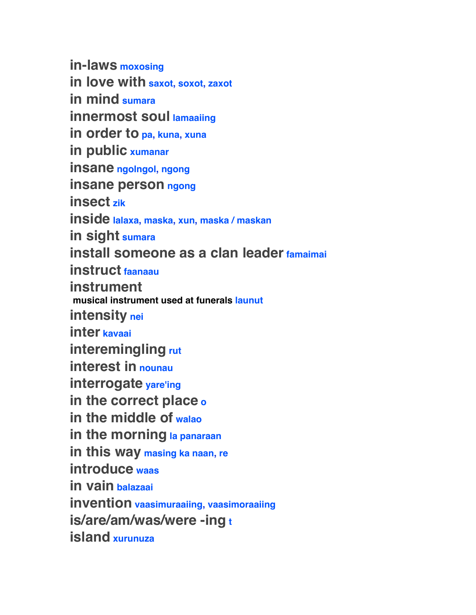**in-laws moxosing in love with saxot, soxot, zaxot in mind sumara innermost soul lamaaiing in order to pa, kuna, xuna in public xumanar insane ngolngol, ngong insane person ngong insect zik inside lalaxa, maska, xun, maska / maskan in sight sumara install someone as a clan leader famaimai instruct faanaau instrument musical instrument used at funerals launut intensity nei inter kavaai interemingling rut interest in nounau interrogate yare'ing in the correct place o in the middle of walao in the morning la panaraan in this way masing ka naan, re introduce waas in vain balazaai invention vaasimuraaiing, vaasimoraaiing is/are/am/was/were -ing t island xurunuza**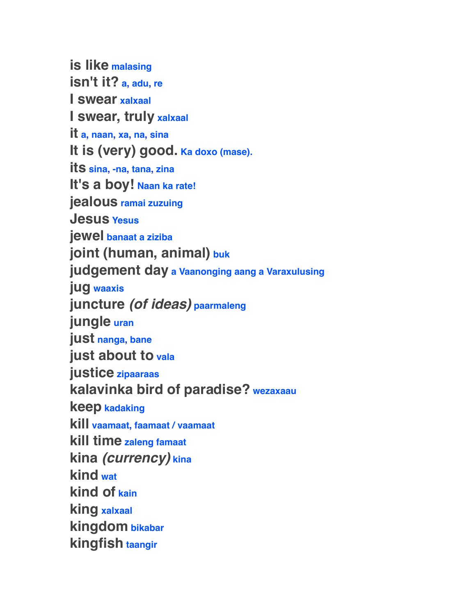**is like malasing isn't it? a, adu, re I swear xalxaal I swear, truly xalxaal it a, naan, xa, na, sina** It is (very) good. Ka doxo (mase). **its sina, -na, tana, zina** It's a boy! Naan ka rate! **jealous ramai zuzuing Jesus Yesus jewel banaat a ziziba joint (human, animal) buk judgement day a Vaanonging aang a Varaxulusing jug waaxis juncture** *(of ideas)* **paarmaleng jungle uran just nanga, bane just about to vala justice zipaaraas kalavinka bird of paradise? wezaxaau keep kadaking kill vaamaat, faamaat / vaamaat kill time zaleng famaat kina** *(currency)* **kina kind wat kind of kain king xalxaal kingdom bikabar kingfish taangir**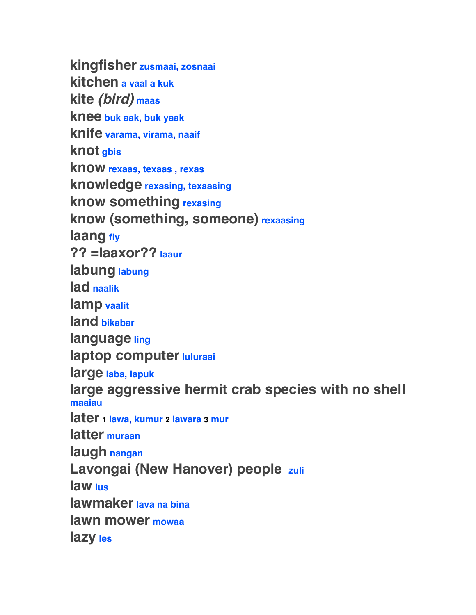**kingfisher zusmaai, zosnaai kitchen a vaal a kuk kite** *(bird)* **maas knee buk aak, buk yaak knife varama, virama, naaif knot gbis know rexaas, texaas , rexas knowledge rexasing, texaasing know something rexasing know (something, someone) rexaasing laang fly ?? =laaxor?? laaur labung labung lad naalik lamp vaalit land bikabar language ling laptop computer luluraai large laba, lapuk large aggressive hermit crab species with no shell maaiau later 1 lawa, kumur 2 lawara 3 mur latter muraan laugh nangan Lavongai (New Hanover) people zuli law lus lawmaker lava na bina lawn mower mowaa lazy les**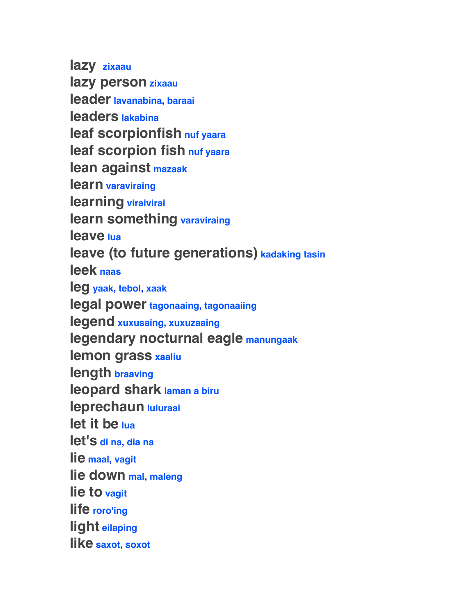**lazy zixaau lazy person zixaau leader lavanabina, baraai leaders lakabina leaf scorpionfish nuf yaara leaf scorpion fish nuf yaara lean against mazaak learn varaviraing learning viraivirai learn something varaviraing leave lua leave (to future generations) kadaking tasin leek naas leg yaak, tebol, xaak legal power tagonaaing, tagonaaiing legend xuxusaing, xuxuzaaing legendary nocturnal eagle manungaak lemon grass xaaliu length braaving leopard shark laman a biru leprechaun luluraai let it be lua let's di na, dia na lie maal, vagit lie down mal, maleng lie to vagit life roro'ing light eilaping like saxot, soxot**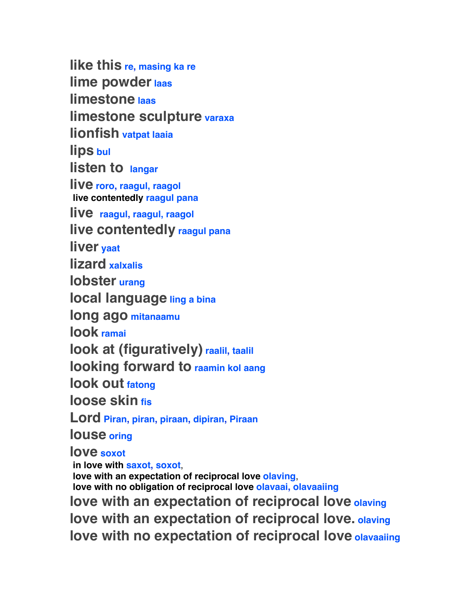**like this re, masing ka re lime powder laas limestone laas limestone sculpture varaxa lionfish vatpat laaia lips bul listen to langar live roro, raagul, raagol live contentedly raagul pana live raagul, raagul, raagol live contentedly raagul pana liver yaat lizard xalxalis lobster urang local language ling a bina long ago mitanaamu look ramai look at (figuratively) raalil, taalil looking forward to raamin kol aang look out fatong loose skin fis Lord Piran, piran, piraan, dipiran, Piraan louse oring love soxot in love with saxot, soxot**,  **love with an expectation of reciprocal love olaving**,  **love with no obligation of reciprocal love olavaai, olavaaiing love with an expectation of reciprocal love olaving love with an expectation of reciprocal love. olaving love with no expectation of reciprocal love olavaaiing**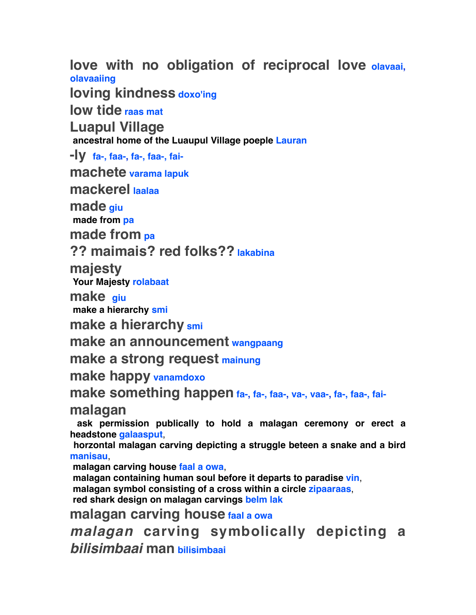**love with no obligation of reciprocal love olavaai, olavaaiing**

**loving kindness doxo'ing**

**low tide raas mat**

**Luapul Village** 

 **ancestral home of the Luaupul Village poeple Lauran**

**-ly fa-, faa-, fa-, faa-, fai-**

**machete varama lapuk**

**mackerel laalaa**

**made giu**

 **made from pa**

**made from pa**

## **?? maimais? red folks?? lakabina**

**majesty**

 **Your Majesty rolabaat**

**make giu**

 **make a hierarchy smi**

**make a hierarchy smi**

## **make an announcement wangpaang**

**make a strong request mainung**

**make happy vanamdoxo**

make something happen fa-, fa-, faa-, va-, vaa-, fa-, faa-, fai-

**malagan**

 **ask permission publically to hold a malagan ceremony or erect a headstone galaasput**,

 **horzontal malagan carving depicting a struggle beteen a snake and a bird manisau**,

 **malagan carving house faal a owa**,

 **malagan containing human soul before it departs to paradise vin**,

 **malagan symbol consisting of a cross within a circle zipaaraas**,

 **red shark design on malagan carvings belm lak**

**malagan carving house faal a owa**

*malagan* **carving symbolically depicting a**  *bilisimbaai* **man bilisimbaai**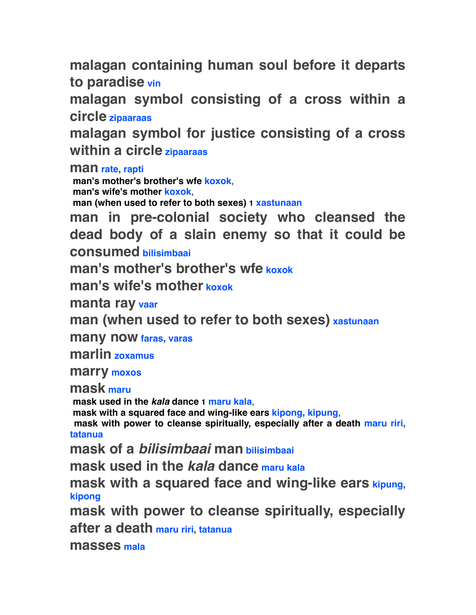**malagan containing human soul before it departs to paradise vin**

**malagan symbol consisting of a cross within a circle zipaaraas**

**malagan symbol for justice consisting of a cross within a circle zipaaraas**

**man rate, rapti**

 **man's mother's brother's wfe koxok**,  **man's wife's mother koxok**,  **man (when used to refer to both sexes) 1 xastunaan**

**man in pre-colonial society who cleansed the dead body of a slain enemy so that it could be consumed bilisimbaai**

**man's mother's brother's wfe koxok**

**man's wife's mother koxok**

**manta ray vaar**

**man (when used to refer to both sexes) xastunaan**

**many now faras, varas**

**marlin zoxamus**

**marry moxos**

**mask maru**

 **mask used in the** *kala* **dance 1 maru kala**,

 **mask with a squared face and wing-like ears kipong, kipung**,

 **mask with power to cleanse spiritually, especially after a death maru riri, tatanua**

**mask of a** *bilisimbaai* **man bilisimbaai**

**mask used in the** *kala* **dance maru kala**

**mask with a squared face and wing-like ears kipung, kipong**

**mask with power to cleanse spiritually, especially** 

**after a death maru riri, tatanua**

**masses mala**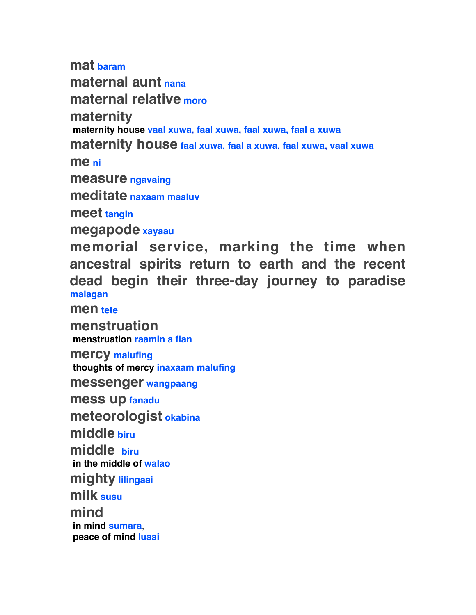**mat baram**

**maternal aunt nana**

**maternal relative moro**

**maternity** 

 **maternity house vaal xuwa, faal xuwa, faal xuwa, faal a xuwa**

**maternity house faal xuwa, faal a xuwa, faal xuwa, vaal xuwa**

**me ni**

**measure ngavaing**

**meditate naxaam maaluv**

**meet tangin**

**megapode xayaau**

**memorial service, marking the time when ancestral spirits return to earth and the recent dead begin their three-day journey to paradise malagan**

**men tete**

**menstruation menstruation raamin a flan**

**mercy malufing thoughts of mercy inaxaam malufing**

**messenger wangpaang**

**mess up fanadu**

**meteorologist okabina**

**middle biru**

**middle biru**

 **in the middle of walao**

**mighty lilingaai**

**milk susu**

**mind in mind sumara**,  **peace of mind luaai**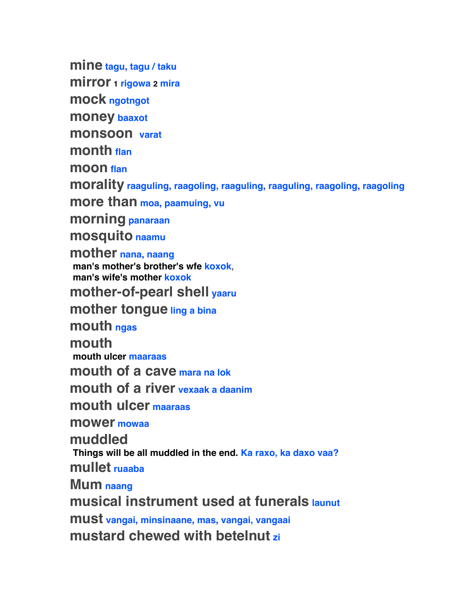**mine tagu, tagu / taku**

**mirror 1 rigowa 2 mira**

**mock ngotngot**

**money baaxot**

**monsoon varat**

**month flan**

**moon flan**

**morality raaguling, raagoling, raaguling, raaguling, raagoling, raagoling**

**more than moa, paamuing, vu**

**morning panaraan**

**mosquito naamu**

**mother nana, naang**

 **man's mother's brother's wfe koxok**,  **man's wife's mother koxok**

**mother-of-pearl shell yaaru**

**mother tongue ling a bina**

**mouth ngas**

**mouth** 

 **mouth ulcer maaraas**

**mouth of a cave mara na lok**

**mouth of a river vexaak a daanim**

**mouth ulcer maaraas**

**mower mowaa**

**muddled** 

 **Things will be all muddled in the end. Ka raxo, ka daxo vaa?**

**mullet ruaaba**

**Mum naang**

**musical instrument used at funerals launut**

**must vangai, minsinaane, mas, vangai, vangaai mustard chewed with betelnut zi**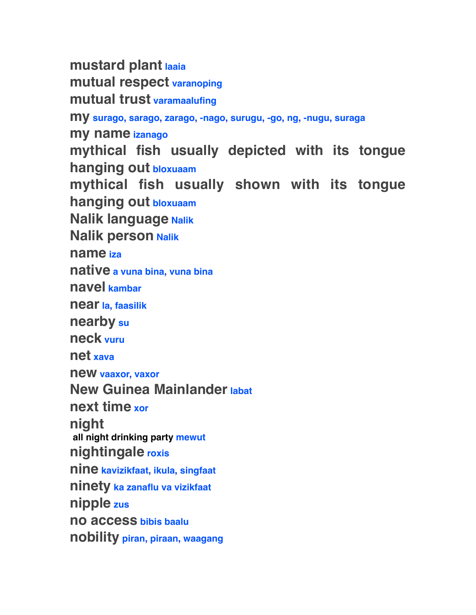**mustard plant laaia mutual respect varanoping mutual trust varamaalufing my surago, sarago, zarago, -nago, surugu, -go, ng, -nugu, suraga my name izanago mythical fish usually depicted with its tongue hanging out bloxuaam mythical fish usually shown with its tongue hanging out bloxuaam Nalik language Nalik Nalik person Nalik name iza native a vuna bina, vuna bina navel kambar near la, faasilik nearby su neck vuru net xava new vaaxor, vaxor New Guinea Mainlander labat next time xor night all night drinking party mewut nightingale roxis nine kavizikfaat, ikula, singfaat ninety ka zanaflu va vizikfaat nipple zus no access bibis baalu nobility piran, piraan, waagang**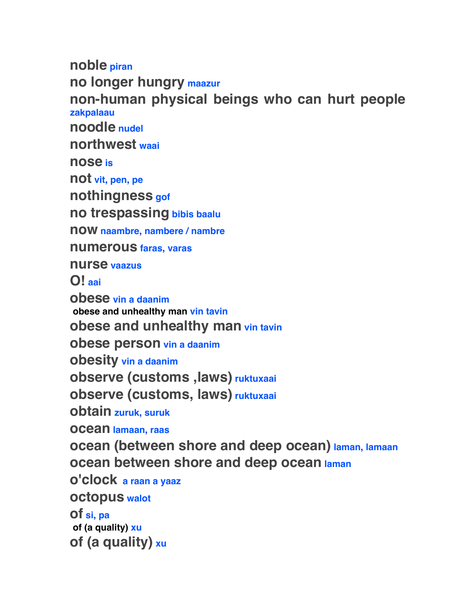**noble piran no longer hungry maazur non-human physical beings who can hurt people zakpalaau noodle nudel northwest waai nose is not vit, pen, pe nothingness gof no trespassing bibis baalu now naambre, nambere / nambre numerous faras, varas nurse vaazus O! aai obese vin a daanim obese and unhealthy man vin tavin obese and unhealthy man vin tavin obese person vin a daanim obesity vin a daanim observe (customs ,laws) ruktuxaai observe (customs, laws) ruktuxaai obtain zuruk, suruk ocean lamaan, raas ocean (between shore and deep ocean) laman, lamaan ocean between shore and deep ocean laman o'clock a raan a yaaz octopus walot of si, pa of (a quality) xu of (a quality) xu**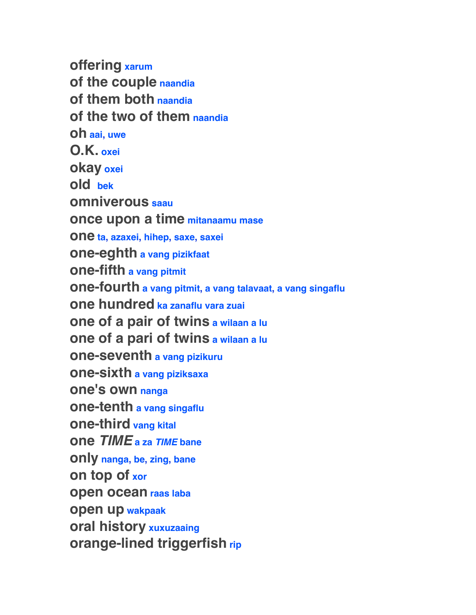**offering xarum of the couple naandia of them both naandia of the two of them naandia oh aai, uwe O.K. oxei okay oxei old bek omniverous saau once upon a time mitanaamu mase one ta, azaxei, hihep, saxe, saxei one-eghth a vang pizikfaat one-fifth a vang pitmit one-fourth a vang pitmit, a vang talavaat, a vang singaflu one hundred ka zanaflu vara zuai one of a pair of twins a wilaan a lu one of a pari of twins a wilaan a lu one-seventh a vang pizikuru one-sixth a vang piziksaxa one's own nanga one-tenth a vang singaflu one-third vang kital one** *TIME* **a za** *TIME* **bane only nanga, be, zing, bane on top of xor open ocean raas laba open up wakpaak oral history xuxuzaaing orange-lined triggerfish rip**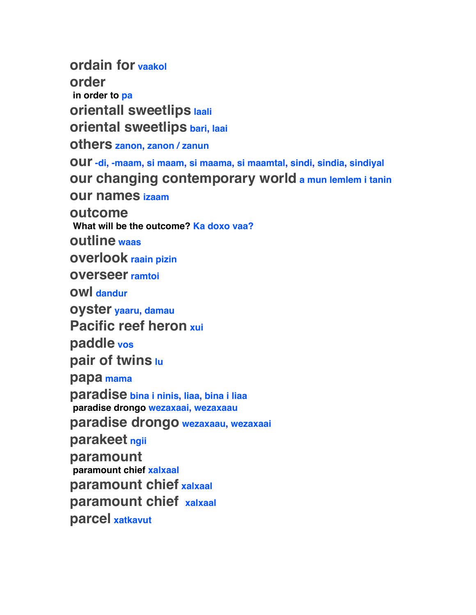**ordain for vaakol order in order to pa orientall sweetlips laali oriental sweetlips bari, laai others zanon, zanon / zanun our -di, -maam, si maam, si maama, si maamtal, sindi, sindia, sindiyal our changing contemporary world a mun lemlem i tanin our names izaam outcome What will be the outcome? Ka doxo vaa? outline waas overlook raain pizin overseer ramtoi owl dandur oyster yaaru, damau Pacific reef heron xui paddle vos pair of twins lu papa mama paradise bina i ninis, liaa, bina i liaa paradise drongo wezaxaai, wezaxaau paradise drongo wezaxaau, wezaxaai parakeet ngii paramount paramount chief xalxaal paramount chief xalxaal paramount chief xalxaal parcel xatkavut**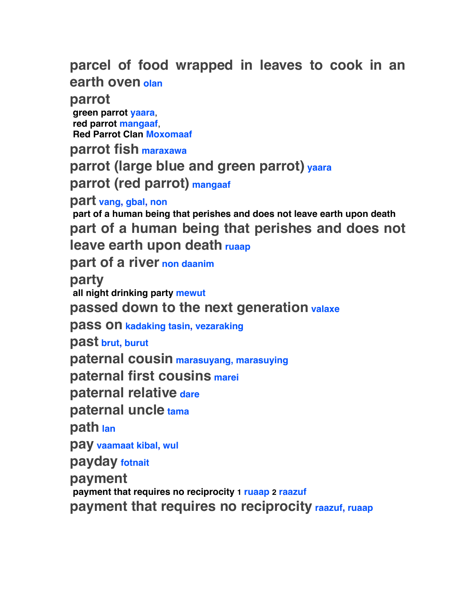**parcel of food wrapped in leaves to cook in an earth oven olan**

**parrot** 

 **green parrot yaara**,  **red parrot mangaaf**,  **Red Parrot Clan Moxomaaf**

**parrot fish maraxawa**

**parrot (large blue and green parrot) yaara**

**parrot (red parrot) mangaaf**

**part vang, gbal, non**

 **part of a human being that perishes and does not leave earth upon death part of a human being that perishes and does not leave earth upon death ruaap**

**part of a river non daanim**

**party**

 **all night drinking party mewut**

**passed down to the next generation valaxe**

**pass on kadaking tasin, vezaraking**

**past brut, burut**

**paternal cousin marasuyang, marasuying**

**paternal first cousins marei**

**paternal relative dare**

**paternal uncle tama**

**path lan**

**pay vaamaat kibal, wul**

**payday fotnait**

**payment**

 **payment that requires no reciprocity 1 ruaap 2 raazuf**

**payment that requires no reciprocity raazuf, ruaap**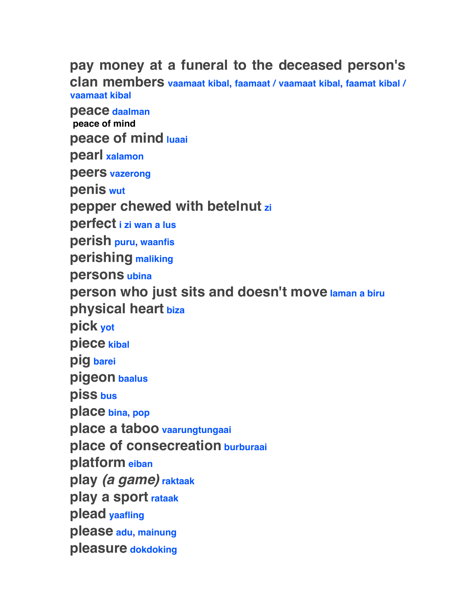# **pay money at a funeral to the deceased person's**

**clan members vaamaat kibal, faamaat / vaamaat kibal, faamat kibal / vaamaat kibal**

**peace daalman peace of mind peace of mind luaai pearl xalamon peers vazerong penis wut pepper chewed with betelnut zi perfect i zi wan a lus perish puru, waanfis perishing maliking persons ubina person who just sits and doesn't move laman a biru physical heart biza pick yot piece kibal pig barei pigeon baalus piss bus place bina, pop place a taboo vaarungtungaai place of consecreation burburaai platform eiban play** *(a game)* **raktaak play a sport rataak plead yaafling please adu, mainung pleasure dokdoking**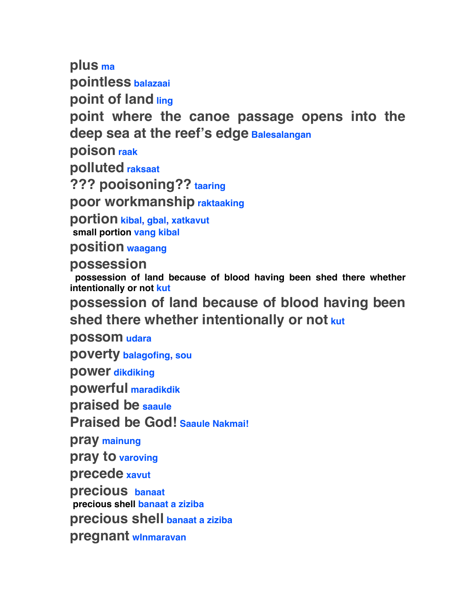**plus ma pointless balazaai**

**point of land ling**

**point where the canoe passage opens into the deep sea at the reef's edge Balesalangan**

**poison raak**

**polluted raksaat**

**??? pooisoning?? taaring**

**poor workmanship raktaaking**

**portion kibal, gbal, xatkavut small portion vang kibal**

**position waagang**

**possession** 

 **possession of land because of blood having been shed there whether intentionally or not kut**

**possession of land because of blood having been shed there whether intentionally or not kut**

**possom udara**

**poverty balagofing, sou**

**power dikdiking**

**powerful maradikdik**

**praised be saaule**

**Praised be God! Saaule Nakmai!**

**pray mainung**

**pray to varoving**

**precede xavut**

**precious banaat** 

 **precious shell banaat a ziziba**

**precious shell banaat a ziziba**

**pregnant wInmaravan**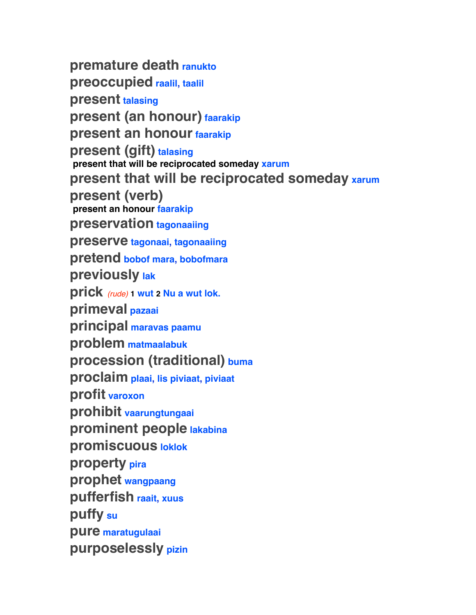**premature death ranukto preoccupied raalil, taalil present talasing present (an honour) faarakip present an honour faarakip present (gift) talasing present that will be reciprocated someday xarum present that will be reciprocated someday xarum present (verb) present an honour faarakip preservation tagonaaiing preserve tagonaai, tagonaaiing pretend bobof mara, bobofmara previously lak prick** *(rude)* **1 wut 2 Nu a wut lok. primeval pazaai principal maravas paamu problem matmaalabuk procession (traditional) buma proclaim plaai, lis piviaat, piviaat profit varoxon prohibit vaarungtungaai prominent people lakabina promiscuous loklok property pira prophet wangpaang pufferfish raait, xuus puffy su pure maratugulaai purposelessly pizin**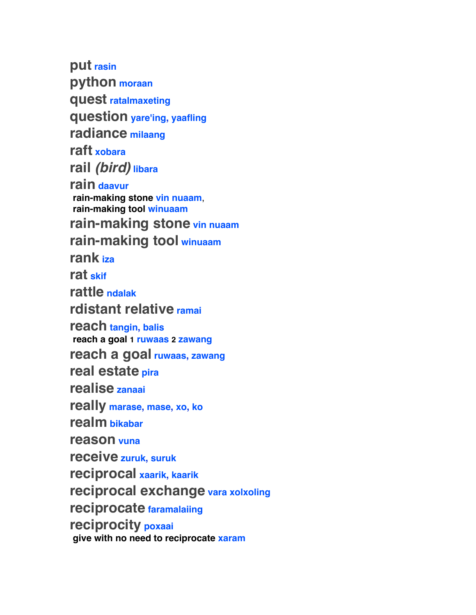**put rasin python moraan quest ratalmaxeting question yare'ing, yaafling radiance milaang raft xobara rail** *(bird)* **libara rain daavur rain-making stone vin nuaam**,  **rain-making tool winuaam rain-making stone vin nuaam rain-making tool winuaam rank iza rat skif rattle ndalak rdistant relative ramai reach tangin, balis reach a goal 1 ruwaas 2 zawang reach a goal ruwaas, zawang real estate pira realise zanaai really marase, mase, xo, ko realm bikabar reason vuna receive zuruk, suruk reciprocal xaarik, kaarik reciprocal exchange vara xolxoling reciprocate faramalaiing reciprocity poxaai give with no need to reciprocate xaram**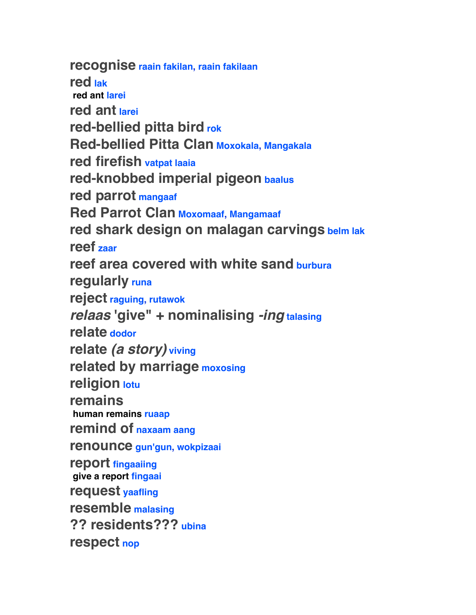**recognise raain fakilan, raain fakilaan red lak red ant larei red ant larei red-bellied pitta bird rok Red-bellied Pitta Clan Moxokala, Mangakala red firefish vatpat laaia red-knobbed imperial pigeon baalus red parrot mangaaf Red Parrot Clan Moxomaaf, Mangamaaf red shark design on malagan carvings belm lak reef zaar reef area covered with white sand burbura regularly runa reject raguing, rutawok** *relaas* **'give" + nominalising** *-ing* **talasing relate dodor relate** *(a story)* **viving related by marriage moxosing religion lotu remains human remains ruaap remind of naxaam aang renounce gun'gun, wokpizaai report fingaaiing give a report fingaai request yaafling resemble malasing ?? residents??? ubina respect nop**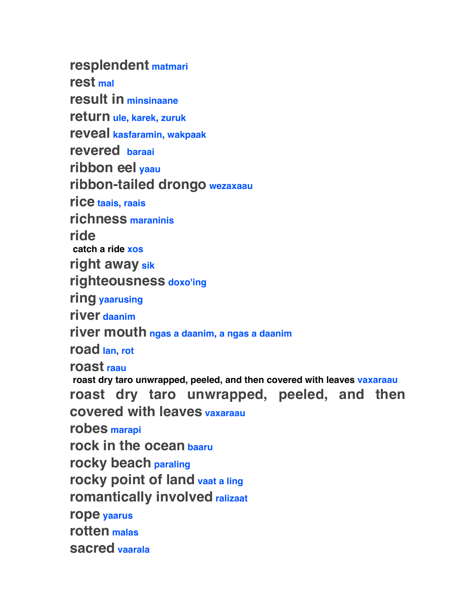**resplendent matmari rest mal result in minsinaane return ule, karek, zuruk reveal kasfaramin, wakpaak revered baraai ribbon eel yaau ribbon-tailed drongo wezaxaau rice taais, raais richness maraninis ride catch a ride xos right away sik righteousness doxo'ing ring yaarusing river daanim river mouth ngas a daanim, a ngas a daanim road lan, rot roast raau roast dry taro unwrapped, peeled, and then covered with leaves vaxaraau roast dry taro unwrapped, peeled, and then covered with leaves vaxaraau robes marapi rock in the ocean baaru rocky beach paraling rocky point of land vaat a ling romantically involved ralizaat rope yaarus rotten malas sacred vaarala**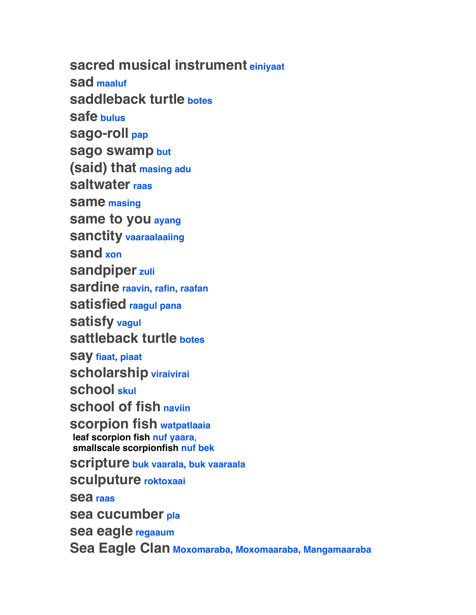**sacred musical instrument einiyaat sad maaluf saddleback turtle botes safe bulus sago-roll pap sago swamp but (said) that masing adu saltwater raas same masing same to you ayang sanctity vaaraalaaiing sand xon sandpiper zuli sardine raavin, rafin, raafan satisfied raagul pana satisfy vagul sattleback turtle botes say fiaat, piaat scholarship viraivirai school skul school of fish naviin scorpion fish watpatlaaia leaf scorpion fish nuf yaara**,  **smallscale scorpionfish nuf bek scripture buk vaarala, buk vaaraala sculputure roktoxaai sea raas sea cucumber pla sea eagle regaaum Sea Eagle Clan Moxomaraba, Moxomaaraba, Mangamaaraba**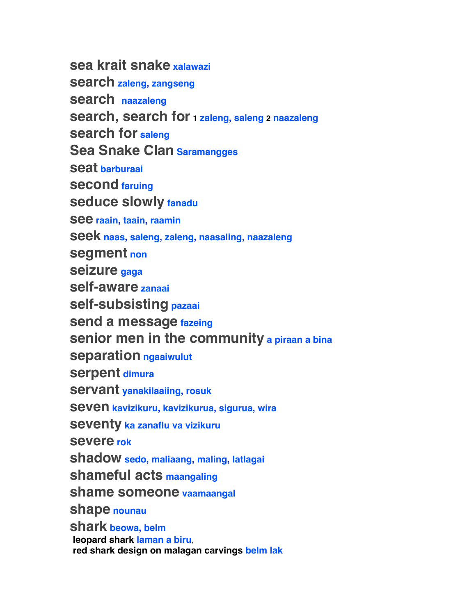**sea krait snake xalawazi search zaleng, zangseng search naazaleng search, search for 1 zaleng, saleng 2 naazaleng search for saleng Sea Snake Clan Saramangges seat barburaai second faruing seduce slowly fanadu see raain, taain, raamin seek naas, saleng, zaleng, naasaling, naazaleng segment non seizure gaga self-aware zanaai self-subsisting pazaai send a message fazeing senior men in the community a piraan a bina separation ngaaiwulut serpent dimura servant yanakilaaiing, rosuk seven kavizikuru, kavizikurua, sigurua, wira seventy ka zanaflu va vizikuru severe rok shadow sedo, maliaang, maling, latlagai shameful acts maangaling shame someone vaamaangal shape nounau shark beowa, belm leopard shark laman a biru**,  **red shark design on malagan carvings belm lak**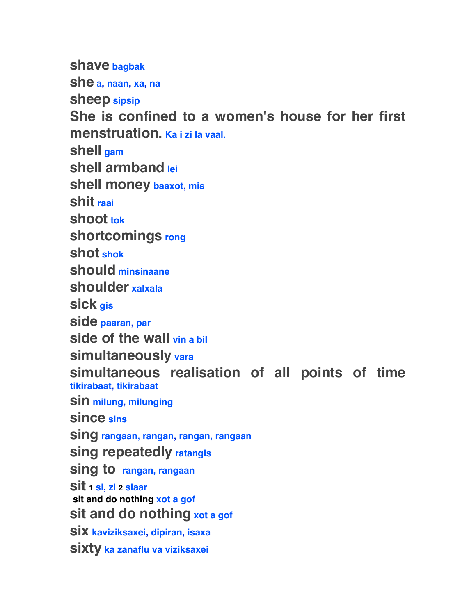**shave bagbak she a, naan, xa, na sheep sipsip She is confined to a women's house for her first menstruation. Ka i zi la vaal. shell gam shell armband lei shell money baaxot, mis shit raai shoot tok shortcomings rong shot shok should minsinaane shoulder xalxala sick gis side paaran, par side of the wall vin a bil simultaneously vara simultaneous realisation of all points of time tikirabaat, tikirabaat sin milung, milunging since sins sing rangaan, rangan, rangan, rangaan sing repeatedly ratangis sing to rangan, rangaan sit 1 si, zi 2 siaar sit and do nothing xot a gof sit and do nothing xot a gof six kaviziksaxei, dipiran, isaxa sixty ka zanaflu va viziksaxei**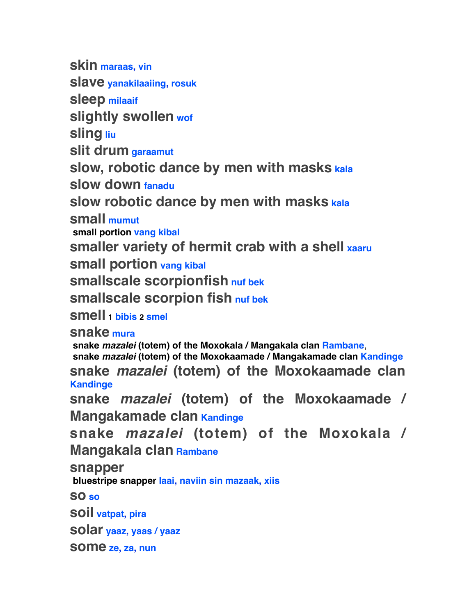**skin maraas, vin slave yanakilaaiing, rosuk sleep milaaif slightly swollen wof sling liu slit drum garaamut slow, robotic dance by men with masks kala slow down fanadu slow robotic dance by men with masks kala small mumut small portion vang kibal smaller variety of hermit crab with a shell xaaru small portion vang kibal smallscale scorpionfish nuf bek smallscale scorpion fish nuf bek smell 1 bibis 2 smel snake mura snake** *mazalei* **(totem) of the Moxokala / Mangakala clan Rambane**,  **snake** *mazalei* **(totem) of the Moxokaamade / Mangakamade clan Kandinge snake** *mazalei* **(totem) of the Moxokaamade clan Kandinge snake** *mazalei* **(totem) of the Moxokaamade / Mangakamade clan Kandinge snake** *mazalei* **(totem) of the Moxokala / Mangakala clan Rambane snapper bluestripe snapper laai, naviin sin mazaak, xiis so so soil vatpat, pira solar yaaz, yaas / yaaz some ze, za, nun**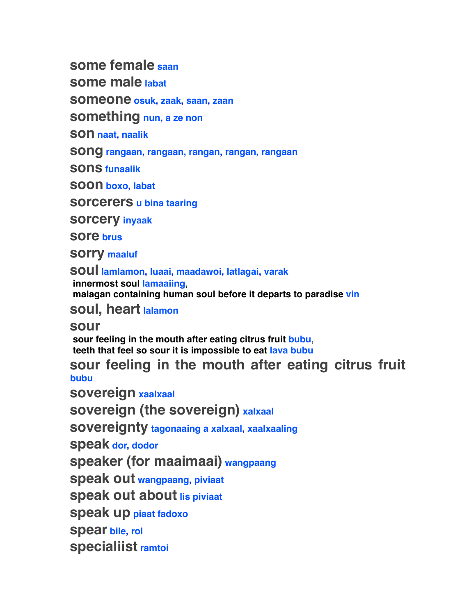**some female saan**

**some male labat**

**someone osuk, zaak, saan, zaan**

**something nun, a ze non**

**son naat, naalik**

**song rangaan, rangaan, rangan, rangan, rangaan**

**sons funaalik**

**soon boxo, labat**

**sorcerers u bina taaring**

**sorcery inyaak**

**sore brus**

**sorry maaluf**

**soul lamlamon, luaai, maadawoi, latlagai, varak innermost soul lamaaiing**,  **malagan containing human soul before it departs to paradise vin**

**soul, heart lalamon**

**sour**

 **sour feeling in the mouth after eating citrus fruit bubu**,  **teeth that feel so sour it is impossible to eat lava bubu**

**sour feeling in the mouth after eating citrus fruit bubu**

**sovereign xaalxaal**

**sovereign (the sovereign) xalxaal**

**sovereignty tagonaaing a xalxaal, xaalxaaling**

**speak dor, dodor**

**speaker (for maaimaai) wangpaang**

**speak out wangpaang, piviaat**

**speak out about lis piviaat**

**speak up piaat fadoxo**

**spear bile, rol**

**specialiist ramtoi**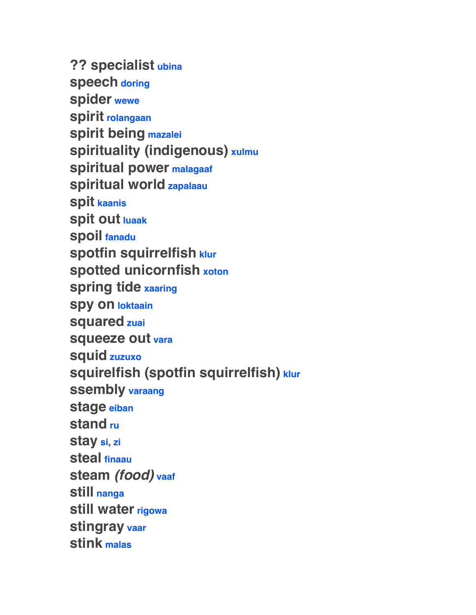**?? specialist ubina speech doring spider wewe spirit rolangaan spirit being mazalei spirituality (indigenous) xulmu spiritual power malagaaf spiritual world zapalaau spit kaanis spit out luaak spoil fanadu spotfin squirrelfish klur spotted unicornfish xoton spring tide xaaring spy on loktaain squared zuai squeeze out vara squid zuzuxo squirelfish (spotfin squirrelfish) klur ssembly varaang stage eiban stand ru stay si, zi steal finaau steam** *(food)* **vaaf still nanga still water rigowa stingray vaar stink malas**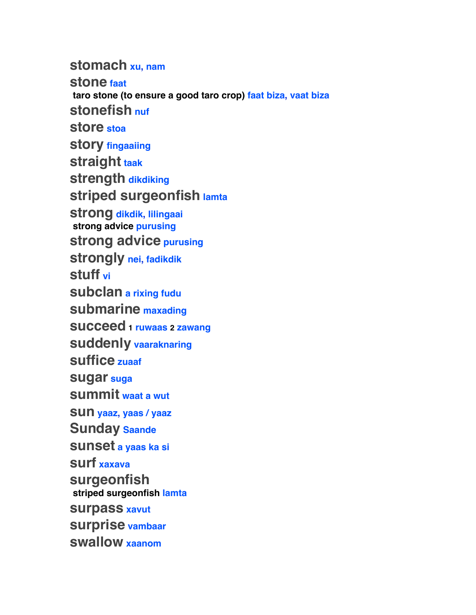**stomach xu, nam**

**stone faat taro stone (to ensure a good taro crop) faat biza, vaat biza stonefish nuf store stoa story fingaaiing straight taak strength dikdiking striped surgeonfish lamta strong dikdik, lilingaai strong advice purusing strong advice purusing strongly nei, fadikdik stuff vi subclan a rixing fudu submarine maxading succeed 1 ruwaas 2 zawang suddenly vaaraknaring suffice zuaaf sugar suga summit waat a wut sun yaaz, yaas / yaaz Sunday Saande sunset a yaas ka si surf xaxava surgeonfish striped surgeonfish lamta surpass xavut surprise vambaar swallow xaanom**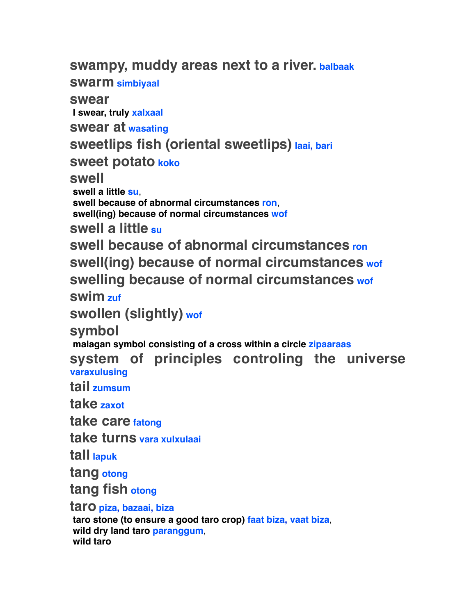**swampy, muddy areas next to a river. balbaak**

**swarm simbiyaal**

**swear**

 **I swear, truly xalxaal**

**swear at wasating**

**sweetlips fish (oriental sweetlips) laai, bari**

**sweet potato koko**

**swell**

 **swell a little su**,  **swell because of abnormal circumstances ron**,  **swell(ing) because of normal circumstances wof**

**swell a little su**

**swell because of abnormal circumstances ron swell(ing) because of normal circumstances wof swelling because of normal circumstances wof**

**swim zuf**

**swollen (slightly) wof**

**symbol**

 **malagan symbol consisting of a cross within a circle zipaaraas**

**system of principles controling the universe varaxulusing**

**tail zumsum**

**take zaxot**

**take care fatong**

**take turns vara xulxulaai**

**tall lapuk**

**tang otong**

**tang fish otong**

**taro piza, bazaai, biza**

 **taro stone (to ensure a good taro crop) faat biza, vaat biza**,  **wild dry land taro paranggum**,  **wild taro**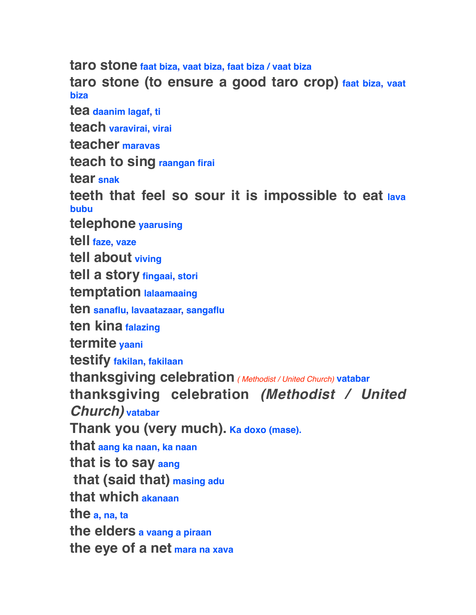**taro stone faat biza, vaat biza, faat biza / vaat biza taro stone (to ensure a good taro crop) faat biza, vaat biza tea daanim lagaf, ti teach varavirai, virai teacher maravas teach to sing raangan firai tear snak teeth that feel so sour it is impossible to eat lava bubu telephone yaarusing tell faze, vaze tell about viving tell a story fingaai, stori temptation lalaamaaing ten sanaflu, lavaatazaar, sangaflu ten kina falazing termite yaani testify fakilan, fakilaan thanksgiving celebration** *( Methodist / United Church)* **vatabar thanksgiving celebration** *(Methodist / United Church)* **vatabar Thank you (very much). Ka doxo (mase). that aang ka naan, ka naan that is to say aang that (said that) masing adu that which akanaan the a, na, ta the elders a vaang a piraan the eye of a net mara na xava**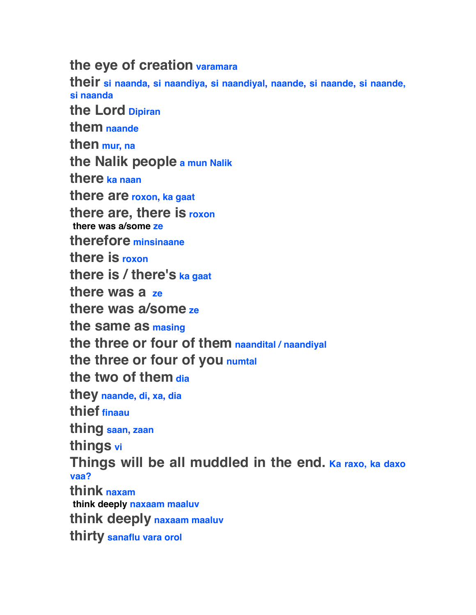**the eye of creation varamara**

**their si naanda, si naandiya, si naandiyal, naande, si naande, si naande, si naanda the Lord Dipiran them naande then mur, na the Nalik people a mun Nalik there ka naan there are roxon, ka gaat there are, there is roxon there was a/some ze therefore minsinaane there is roxon there is / there's ka gaat there was a ze there was a/some ze the same as masing the three or four of them naandital / naandiyal the three or four of you numtal the two of them dia they naande, di, xa, dia thief finaau thing saan, zaan things vi Things will be all muddled in the end. Ka raxo, ka daxo vaa? think naxam think deeply naxaam maaluv think deeply naxaam maaluv thirty sanaflu vara orol**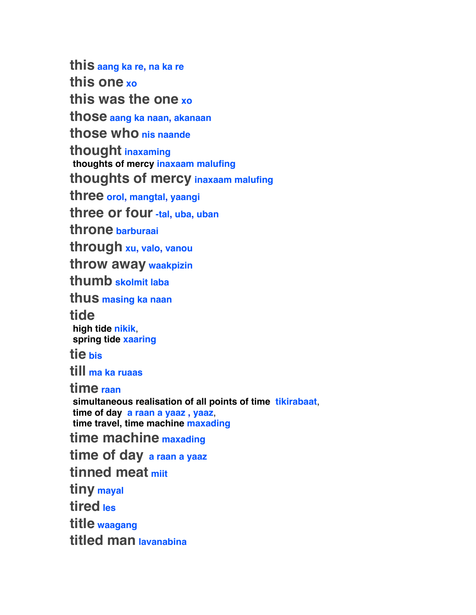**this aang ka re, na ka re this one xo this was the one xo those aang ka naan, akanaan those who nis naande thought inaxaming thoughts of mercy inaxaam malufing thoughts of mercy inaxaam malufing three orol, mangtal, yaangi three or four -tal, uba, uban throne barburaai through xu, valo, vanou throw away waakpizin thumb skolmit laba thus masing ka naan tide high tide nikik**,  **spring tide xaaring tie bis till ma ka ruaas time raan simultaneous realisation of all points of time tikirabaat**,  **time of day a raan a yaaz , yaaz**,  **time travel, time machine maxading time machine maxading time of day a raan a yaaz tinned meat miit tiny mayal tired les title waagang titled man lavanabina**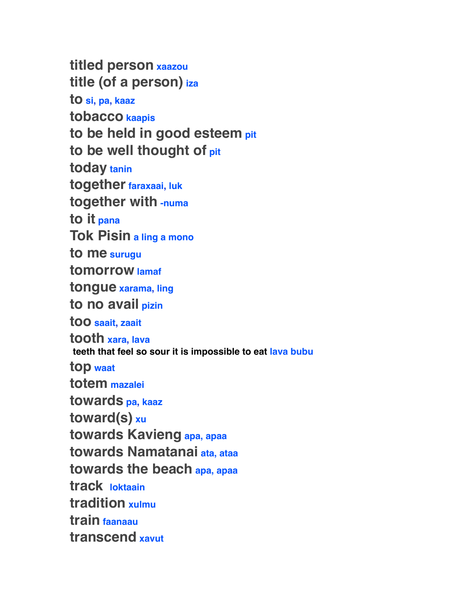**titled person xaazou title (of a person) iza to si, pa, kaaz tobacco kaapis to be held in good esteem pit to be well thought of pit today tanin together faraxaai, luk together with -numa to it pana Tok Pisin a ling a mono to me surugu tomorrow lamaf tongue xarama, ling to no avail pizin too saait, zaait tooth xara, lava teeth that feel so sour it is impossible to eat lava bubu top waat totem mazalei towards pa, kaaz toward(s) xu towards Kavieng apa, apaa towards Namatanai ata, ataa towards the beach apa, apaa track loktaain tradition xulmu train faanaau transcend xavut**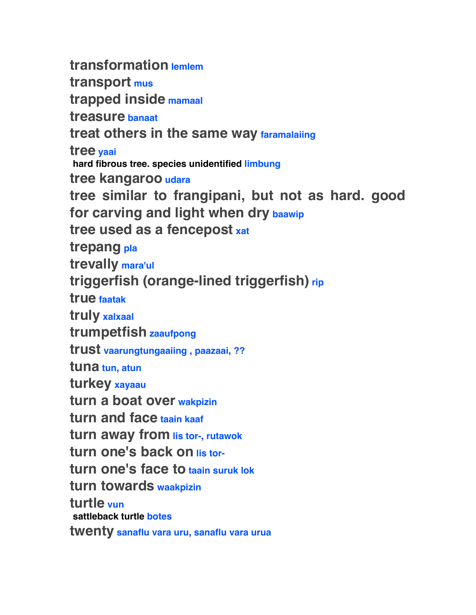**transformation lemlem transport mus trapped inside mamaal treasure banaat treat others in the same way faramalaiing tree yaai hard fibrous tree. species unidentified limbung tree kangaroo udara tree similar to frangipani, but not as hard. good for carving and light when dry baawip tree used as a fencepost xat trepang pla trevally mara'ul triggerfish (orange-lined triggerfish) rip true faatak truly xalxaal trumpetfish zaaufpong trust vaarungtungaaiing , paazaai, ?? tuna tun, atun turkey xayaau turn a boat over wakpizin turn and face taain kaaf turn away from lis tor-, rutawok** turn one's back on **lis torturn one's face to taain suruk lok turn towards waakpizin turtle vun sattleback turtle botes twenty sanaflu vara uru, sanaflu vara urua**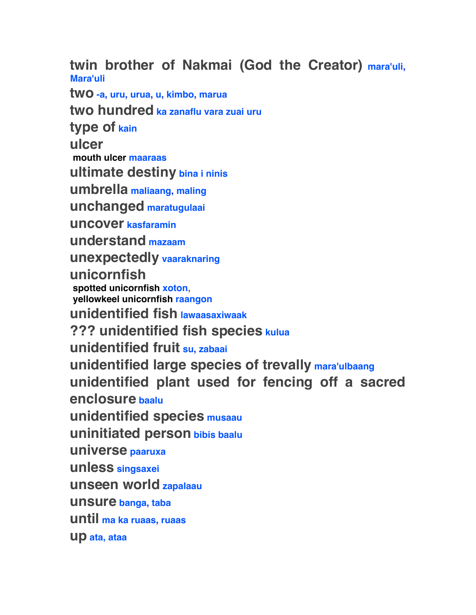**twin brother of Nakmai (God the Creator) mara'uli, Mara'uli**

**two -a, uru, urua, u, kimbo, marua two hundred ka zanaflu vara zuai uru type of kain ulcer mouth ulcer maaraas ultimate destiny bina i ninis umbrella maliaang, maling unchanged maratugulaai uncover kasfaramin understand mazaam unexpectedly vaaraknaring unicornfish spotted unicornfish xoton**,  **yellowkeel unicornfish raangon unidentified fish lawaasaxiwaak ??? unidentified fish species kulua unidentified fruit su, zabaai unidentified large species of trevally mara'ulbaang unidentified plant used for fencing off a sacred enclosure baalu unidentified species musaau uninitiated person bibis baalu universe paaruxa unless singsaxei unseen world zapalaau unsure banga, taba until ma ka ruaas, ruaas up ata, ataa**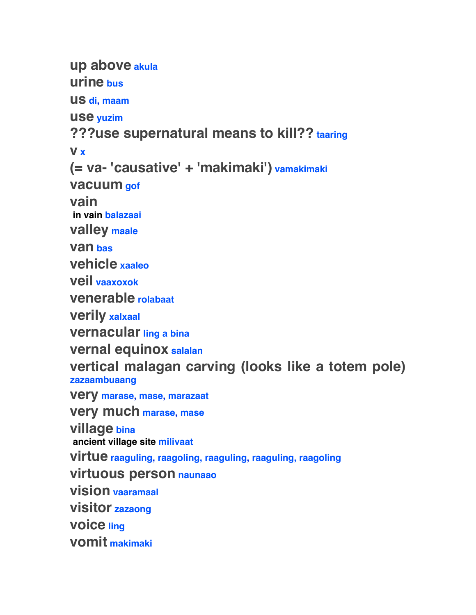**up above akula urine bus us di, maam use yuzim ???use supernatural means to kill?? taaring v x (= va- 'causative' + 'makimaki') vamakimaki vacuum gof vain in vain balazaai valley maale van bas vehicle xaaleo veil vaaxoxok venerable rolabaat verily xalxaal vernacular ling a bina vernal equinox salalan vertical malagan carving (looks like a totem pole) zazaambuaang very marase, mase, marazaat very much marase, mase village bina ancient village site milivaat virtue raaguling, raagoling, raaguling, raaguling, raagoling virtuous person naunaao vision vaaramaal visitor zazaong voice ling vomit makimaki**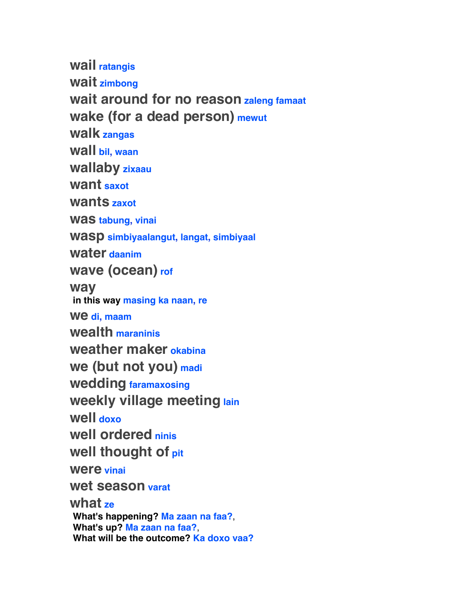**wail ratangis wait zimbong wait around for no reason zaleng famaat wake (for a dead person) mewut walk zangas wall bil, waan wallaby zixaau want saxot wants zaxot was tabung, vinai wasp simbiyaalangut, langat, simbiyaal water daanim wave (ocean) rof way in this way masing ka naan, re we di, maam wealth maraninis weather maker okabina we (but not you) madi wedding faramaxosing weekly village meeting lain well doxo well ordered ninis well thought of pit were vinai wet season varat what ze What's happening? Ma zaan na faa?**,  **What's up? Ma zaan na faa?**,  **What will be the outcome? Ka doxo vaa?**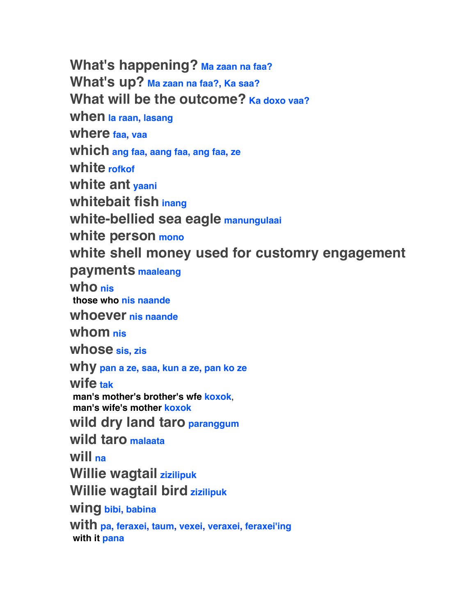**What's happening? Ma zaan na faa? What's up? Ma zaan na faa?, Ka saa?** What will be the outcome? Ka doxo vaa? **when la raan, lasang where faa, vaa which ang faa, aang faa, ang faa, ze white rofkof white ant yaani whitebait fish inang white-bellied sea eagle manungulaai white person mono white shell money used for customry engagement payments maaleang who nis those who nis naande whoever nis naande whom nis whose sis, zis why pan a ze, saa, kun a ze, pan ko ze wife tak man's mother's brother's wfe koxok**,  **man's wife's mother koxok wild dry land taro paranggum wild taro malaata will na Willie wagtail zizilipuk Willie wagtail bird zizilipuk wing bibi, babina with pa, feraxei, taum, vexei, veraxei, feraxei'ing with it pana**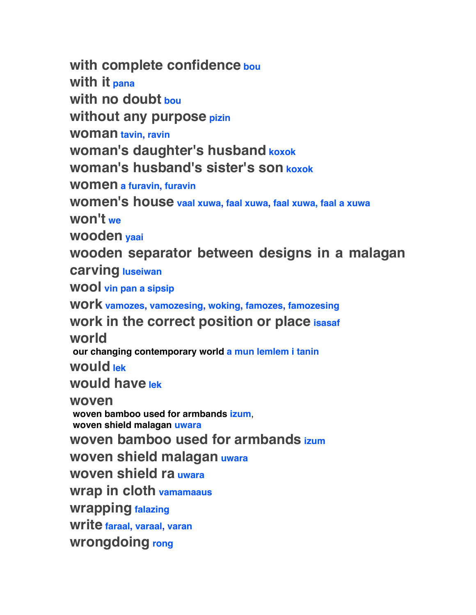**with complete confidence bou with it pana with no doubt bou without any purpose pizin woman tavin, ravin woman's daughter's husband koxok woman's husband's sister's son koxok women a furavin, furavin women's house vaal xuwa, faal xuwa, faal xuwa, faal a xuwa won't we wooden yaai wooden separator between designs in a malagan carving luseiwan wool vin pan a sipsip work vamozes, vamozesing, woking, famozes, famozesing work in the correct position or place isasaf world our changing contemporary world a mun lemlem i tanin would lek would have lek woven woven bamboo used for armbands izum**,  **woven shield malagan uwara woven bamboo used for armbands izum woven shield malagan uwara woven shield ra uwara wrap in cloth vamamaaus wrapping falazing write faraal, varaal, varan wrongdoing rong**